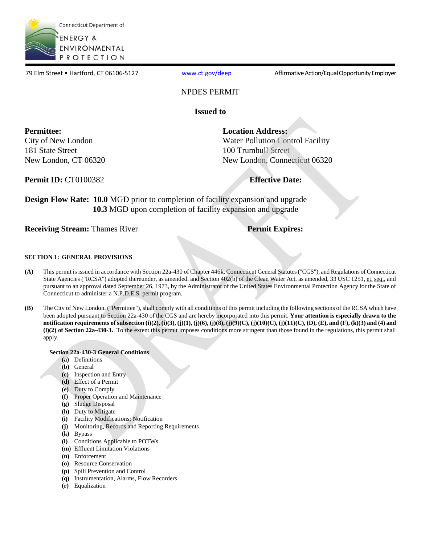

79 Elm Street • Hartford, CT 06106-5127 [www.ct.gov/deep](http://www.ct.gov/deep) Affirmative Action/Equal Opportunity Employer

### NPDES PERMIT

**Issued to** 

**Permittee:**  City of New London 181 State Street New London, CT 06320

Water Pollution Control Facility 100 Trumbull Street New London, Connecticut 06320 **Location Address:** 

**Permit ID:** CT0100382 **Effective Date:** 

**Design Flow Rate: 10.0 MGD** prior to completion of facility expansion and upgrade **10.3** MGD upon completion of facility expansion and upgrade

**Receiving Stream:** Thames River **Permit Expires: Permit Expires:** 

### **SECTION 1: GENERAL PROVISIONS**

- **(A)** This permit is issued in accordance with Section 22a-430 of Chapter 446k, Connecticut General Statutes ("CGS"), and Regulations of Connecticut State Agencies ("RCSA") adopted thereunder, as amended, and Section 402(b) of the Clean Water Act, as amended, 33 USC 1251, et. seq., and pursuant to an approval dated September 26, 1973, by the Administrator of the United States Environmental Protection Agency for the State of Connecticut to administer a N.P.D.E.S. permit program.
- **(B)** The City of New London, ("Permittee"), shall comply with all conditions of this permit including the following sections of the RCSA which have been adopted pursuant to Section 22a-430 of the CGS and are hereby incorporated into this permit. **Your attention is especially drawn to the notification requirements of subsection (i)(2), (i)(3), (j)(1), (j)(6), (j)(8), (j)(9)(C), (j)(10)(C), (j)(11)(C), (D), (E), and (F), (k)(3) and (4) and (l)(2) of Section 22a-430-3.** To the extent this permit imposes conditions more stringent than those found in the regulations, this permit shall apply.

### **Section 22a-430-3 General Conditions**

- **(a)** Definitions
- **(b)** General
- **(c)** Inspection and Entry
- **(d)** Effect of a Permit
- **(e)** Duty to Comply
- **(f)** Proper Operation and Maintenance
- **(g)** Sludge Disposal
- **(h)** Duty to Mitigate
- **(i)** Facility Modifications; Notification
- **(j)** Monitoring, Records and Reporting Requirements
- **(k)** Bypass
- **(l)** Conditions Applicable to POTWs
- **(m)** Effluent Limitation Violations
- **(n)** Enforcement
- **(o)** Resource Conservation
- **(p)** Spill Prevention and Control
- **(q)** Instrumentation, Alarms, Flow Recorders
- **(r)** Equalization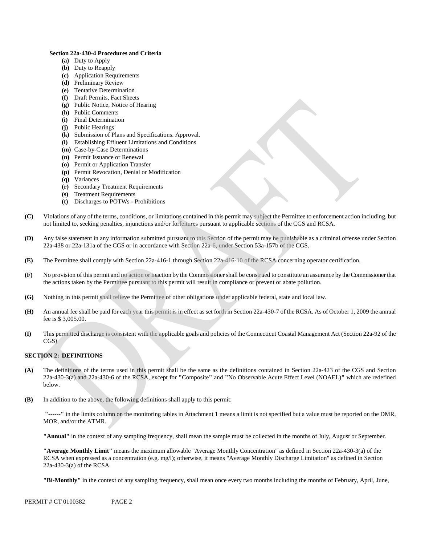#### **Section 22a-430-4 Procedures and Criteria**

- **(a)** Duty to Apply
- **(b)** Duty to Reapply
- **(c)** Application Requirements
- **(d)** Preliminary Review
- **(e)** Tentative Determination
- **(f)** Draft Permits, Fact Sheets
- **(g)** Public Notice, Notice of Hearing
- **(h)** Public Comments
- **(i)** Final Determination
- **(j)** Public Hearings
- **(k)** Submission of Plans and Specifications. Approval.
- **(l)** Establishing Effluent Limitations and Conditions
- **(m)** Case-by-Case Determinations
- **(n)** Permit Issuance or Renewal
- **(o)** Permit or Application Transfer
- **(p)** Permit Revocation, Denial or Modification
- **(q)** Variances
- **(r)** Secondary Treatment Requirements
- **(s)** Treatment Requirements
- **(t)** Discharges to POTWs Prohibitions
- **(C)** Violations of any of the terms, conditions, or limitations contained in this permit may subject the Permittee to enforcement action including, but not limited to, seeking penalties, injunctions and/or forfeitures pursuant to applicable sections of the CGS and RCSA.
- **(D)** Any false statement in any information submitted pursuant to this Section of the permit may be punishable as a criminal offense under Section 22a-438 or 22a-131a of the CGS or in accordance with Section 22a-6, under Section 53a-157b of the CGS.
- **(E)** The Permittee shall comply with Section 22a-416-1 through Section 22a-416-10 of the RCSA concerning operator certification.
- **(F)** No provision of this permit and no action or inaction by the Commissioner shall be construed to constitute an assurance by the Commissioner that the actions taken by the Permittee pursuant to this permit will result in compliance or prevent or abate pollution.
- **(G)** Nothing in this permit shall relieve the Permittee of other obligations under applicable federal, state and local law.
- **(H)** An annual fee shall be paid for each year this permit is in effect as set forth in Section 22a-430-7 of the RCSA. As of October 1, 2009 the annual fee is \$ 3,005.00.
- **(I)** This permitted discharge is consistent with the applicable goals and policies of the Connecticut Coastal Management Act (Section 22a-92 of the CGS)

### **SECTION 2: DEFINITIONS**

- **(A)** The definitions of the terms used in this permit shall be the same as the definitions contained in Section 22a-423 of the CGS and Section 22a-430-3(a) and 22a-430-6 of the RCSA, except for **"**Composite**"** and **"**No Observable Acute Effect Level (NOAEL)**"** which are redefined below.
- **(B)** In addition to the above, the following definitions shall apply to this permit:

**"------"** in the limits column on the monitoring tables in Attachment 1 means a limit is not specified but a value must be reported on the DMR, MOR, and/or the ATMR.

**"Annual"** in the context of any sampling frequency, shall mean the sample must be collected in the months of July, August or September.

**"Average Monthly Limit"** means the maximum allowable "Average Monthly Concentration" as defined in Section 22a-430-3(a) of the RCSA when expressed as a concentration (e.g. mg/l); otherwise, it means "Average Monthly Discharge Limitation" as defined in Section 22a-430-3(a) of the RCSA.

**"Bi-Monthly"** in the context of any sampling frequency, shall mean once every two months including the months of February, April, June,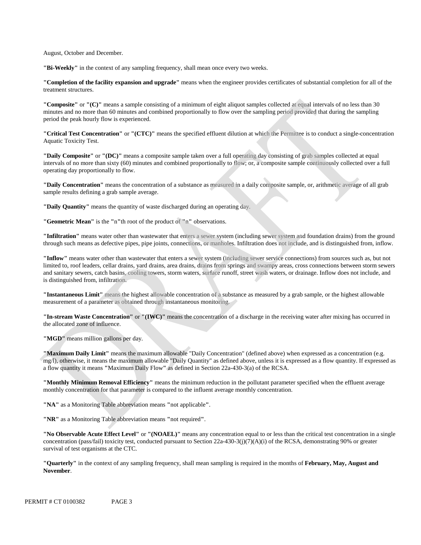August, October and December.

**"Bi-Weekly"** in the context of any sampling frequency, shall mean once every two weeks.

**"Completion of the facility expansion and upgrade"** means when the engineer provides certificates of substantial completion for all of the treatment structures.

**"Composite"** or **"(C)"** means a sample consisting of a minimum of eight aliquot samples collected at equal intervals of no less than 30 minutes and no more than 60 minutes and combined proportionally to flow over the sampling period provided that during the sampling period the peak hourly flow is experienced.

**"Critical Test Concentration"** or **"(CTC)"** means the specified effluent dilution at which the Permittee is to conduct a single-concentration Aquatic Toxicity Test.

**"Daily Composite"** or **"(DC)"** means a composite sample taken over a full operating day consisting of grab samples collected at equal intervals of no more than sixty (60) minutes and combined proportionally to flow; or, a composite sample continuously collected over a full operating day proportionally to flow.

**"Daily Concentration"** means the concentration of a substance as measured in a daily composite sample, or, arithmetic average of all grab sample results defining a grab sample average.

**"Daily Quantity"** means the quantity of waste discharged during an operating day.

**"Geometric Mean"** is the **"**n**"**th root of the product of **"**n**"** observations.

**"Infiltration"** means water other than wastewater that enters a sewer system (including sewer system and foundation drains) from the ground through such means as defective pipes, pipe joints, connections, or manholes. Infiltration does not include, and is distinguished from, inflow.

**"Inflow"** means water other than wastewater that enters a sewer system (including sewer service connections) from sources such as, but not limited to, roof leaders, cellar drains, yard drains, area drains, drains from springs and swampy areas, cross connections between storm sewers and sanitary sewers, catch basins, cooling towers, storm waters, surface runoff, street wash waters, or drainage. Inflow does not include, and is distinguished from, infiltration.

**"Instantaneous Limit"** means the highest allowable concentration of a substance as measured by a grab sample, or the highest allowable measurement of a parameter as obtained through instantaneous monitoring.

**"In-stream Waste Concentration"** or **"(IWC)"** means the concentration of a discharge in the receiving water after mixing has occurred in the allocated zone of influence.

**"MGD"** means million gallons per day.

**"Maximum Daily Limit"** means the maximum allowable "Daily Concentration" (defined above) when expressed as a concentration (e.g. mg/l), otherwise, it means the maximum allowable "Daily Quantity" as defined above, unless it is expressed as a flow quantity. If expressed as a flow quantity it means **"**Maximum Daily Flow**"** as defined in Section 22a-430-3(a) of the RCSA.

**"Monthly Minimum Removal Efficiency"** means the minimum reduction in the pollutant parameter specified when the effluent average monthly concentration for that parameter is compared to the influent average monthly concentration.

**"NA"** as a Monitoring Table abbreviation means **"**not applicable**"**.

**"NR"** as a Monitoring Table abbreviation means **"**not required**"**.

**"No Observable Acute Effect Level"** or **"(NOAEL)"** means any concentration equal to or less than the critical test concentration in a single concentration (pass/fail) toxicity test, conducted pursuant to Section  $22a-430-3(i)(7)(A)(i)$  of the RCSA, demonstrating 90% or greater survival of test organisms at the CTC.

**"Quarterly"** in the context of any sampling frequency, shall mean sampling is required in the months of **February, May, August and November**.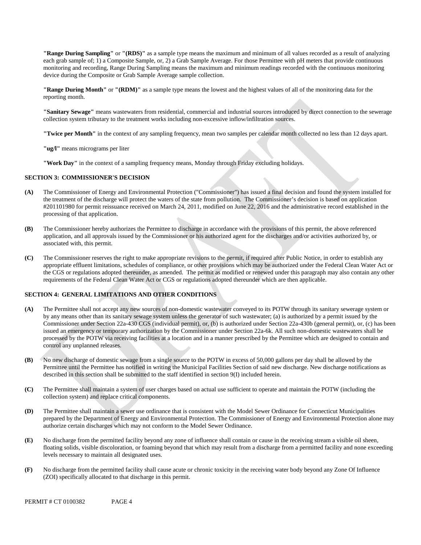**"Range During Sampling"** or **"(RDS)"** as a sample type means the maximum and minimum of all values recorded as a result of analyzing each grab sample of; 1) a Composite Sample, or, 2) a Grab Sample Average. For those Permittee with pH meters that provide continuous monitoring and recording, Range During Sampling means the maximum and minimum readings recorded with the continuous monitoring device during the Composite or Grab Sample Average sample collection.

**"Range During Month"** or **"(RDM)"** as a sample type means the lowest and the highest values of all of the monitoring data for the reporting month.

**"Sanitary Sewage"** means wastewaters from residential, commercial and industrial sources introduced by direct connection to the sewerage collection system tributary to the treatment works including non-excessive inflow/infiltration sources.

**"Twice per Month"** in the context of any sampling frequency, mean two samples per calendar month collected no less than 12 days apart.

**"ug/l"** means micrograms per liter

**"Work Day"** in the context of a sampling frequency means, Monday through Friday excluding holidays.

### **SECTION 3: COMMISSIONER'S DECISION**

- **(A)** The Commissioner of Energy and Environmental Protection ("Commissioner") has issued a final decision and found the system installed for the treatment of the discharge will protect the waters of the state from pollution. The Commissioner's decision is based on application #201101980 for permit reissuance received on March 24, 2011, modified on June 22, 2016 and the administrative record established in the processing of that application.
- **(B)** The Commissioner hereby authorizes the Permittee to discharge in accordance with the provisions of this permit, the above referenced application, and all approvals issued by the Commissioner or his authorized agent for the discharges and/or activities authorized by, or associated with, this permit.
- **(C)** The Commissioner reserves the right to make appropriate revisions to the permit, if required after Public Notice, in order to establish any appropriate effluent limitations, schedules of compliance, or other provisions which may be authorized under the Federal Clean Water Act or the CGS or regulations adopted thereunder, as amended. The permit as modified or renewed under this paragraph may also contain any other requirements of the Federal Clean Water Act or CGS or regulations adopted thereunder which are then applicable.

### **SECTION 4: GENERAL LIMITATIONS AND OTHER CONDITIONS**

- **(A)** The Permittee shall not accept any new sources of non-domestic wastewater conveyed to its POTW through its sanitary sewerage system or by any means other than its sanitary sewage system unless the generator of such wastewater; (a) is authorized by a permit issued by the Commissioner under Section 22a-430 CGS (individual permit), or, (b) is authorized under Section 22a-430b (general permit), or, (c) has been issued an emergency or temporary authorization by the Commissioner under Section 22a-6k. All such non-domestic wastewaters shall be processed by the POTW via receiving facilities at a location and in a manner prescribed by the Permittee which are designed to contain and control any unplanned releases.
- **(B)** No new discharge of domestic sewage from a single source to the POTW in excess of 50,000 gallons per day shall be allowed by the Permittee until the Permittee has notified in writing the Municipal Facilities Section of said new discharge. New discharge notifications as described in this section shall be submitted to the staff identified in section 9(I) included herein.
- **(C)** The Permittee shall maintain a system of user charges based on actual use sufficient to operate and maintain the POTW (including the collection system) and replace critical components.
- **(D)** The Permittee shall maintain a sewer use ordinance that is consistent with the Model Sewer Ordinance for Connecticut Municipalities prepared by the Department of Energy and Environmental Protection. The Commissioner of Energy and Environmental Protection alone may authorize certain discharges which may not conform to the Model Sewer Ordinance.
- **(E)** No discharge from the permitted facility beyond any zone of influence shall contain or cause in the receiving stream a visible oil sheen, floating solids, visible discoloration, or foaming beyond that which may result from a discharge from a permitted facility and none exceeding levels necessary to maintain all designated uses.
- **(F)** No discharge from the permitted facility shall cause acute or chronic toxicity in the receiving water body beyond any Zone Of Influence (ZOI) specifically allocated to that discharge in this permit.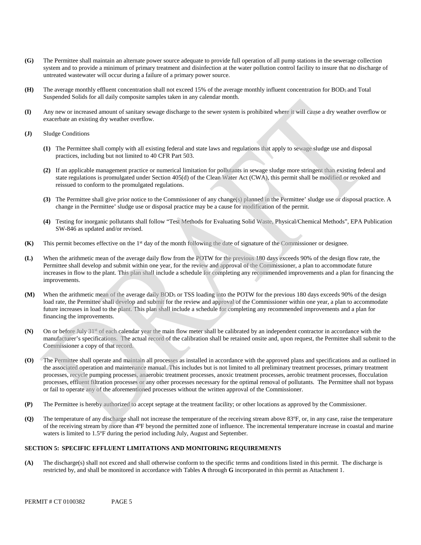- **(G)** The Permittee shall maintain an alternate power source adequate to provide full operation of all pump stations in the sewerage collection system and to provide a minimum of primary treatment and disinfection at the water pollution control facility to insure that no discharge of untreated wastewater will occur during a failure of a primary power source.
- **(H)** The average monthly effluent concentration shall not exceed 15% of the average monthly influent concentration for BOD5 and Total Suspended Solids for all daily composite samples taken in any calendar month.
- **(I)** Any new or increased amount of sanitary sewage discharge to the sewer system is prohibited where it will cause a dry weather overflow or exacerbate an existing dry weather overflow.
- **(J)** Sludge Conditions
	- **(1)** The Permittee shall comply with all existing federal and state laws and regulations that apply to sewage sludge use and disposal practices, including but not limited to 40 CFR Part 503.
	- **(2)** If an applicable management practice or numerical limitation for pollutants in sewage sludge more stringent than existing federal and state regulations is promulgated under Section 405(d) of the Clean Water Act (CWA), this permit shall be modified or revoked and reissued to conform to the promulgated regulations.
	- **(3)** The Permittee shall give prior notice to the Commissioner of any change(s) planned in the Permittee' sludge use or disposal practice. A change in the Permittee' sludge use or disposal practice may be a cause for modification of the permit.
	- **(4)** Testing for inorganic pollutants shall follow "Test Methods for Evaluating Solid Waste, Physical/Chemical Methods", EPA Publication SW-846 as updated and/or revised.
- **(K)** This permit becomes effective on the 1st day of the month following the date of signature of the Commissioner or designee.
- **(L)** When the arithmetic mean of the average daily flow from the POTW for the previous 180 days exceeds 90% of the design flow rate, the Permittee shall develop and submit within one year, for the review and approval of the Commissioner, a plan to accommodate future increases in flow to the plant. This plan shall include a schedule for completing any recommended improvements and a plan for financing the improvements.
- **(M)** When the arithmetic mean of the average daily BOD5 or TSS loading into the POTW for the previous 180 days exceeds 90% of the design load rate, the Permittee shall develop and submit for the review and approval of the Commissioner within one year, a plan to accommodate future increases in load to the plant. This plan shall include a schedule for completing any recommended improvements and a plan for financing the improvements.
- **(N)** On or before July 31<sup>st</sup> of each calendar year the main flow meter shall be calibrated by an independent contractor in accordance with the manufacturer's specifications. The actual record of the calibration shall be retained onsite and, upon request, the Permittee shall submit to the Commissioner a copy of that record.
- **(O)** The Permittee shall operate and maintain all processes as installed in accordance with the approved plans and specifications and as outlined in the associated operation and maintenance manual. This includes but is not limited to all preliminary treatment processes, primary treatment processes, recycle pumping processes, anaerobic treatment processes, anoxic treatment processes, aerobic treatment processes, flocculation processes, effluent filtration processes or any other processes necessary for the optimal removal of pollutants. The Permittee shall not bypass or fail to operate any of the aforementioned processes without the written approval of the Commissioner.
- **(P)** The Permittee is hereby authorized to accept septage at the treatment facility; or other locations as approved by the Commissioner.
- **(Q)** The temperature of any discharge shall not increase the temperature of the receiving stream above 83ºF, or, in any case, raise the temperature of the receiving stream by more than 4ºF beyond the permitted zone of influence. The incremental temperature increase in coastal and marine waters is limited to 1.5°F during the period including July, August and September.

### **SECTION 5: SPECIFIC EFFLUENT LIMITATIONS AND MONITORING REQUIREMENTS**

**(A)** The discharge(s) shall not exceed and shall otherwise conform to the specific terms and conditions listed in this permit. The discharge is restricted by, and shall be monitored in accordance with Tables **A** through **G** incorporated in this permit as Attachment 1.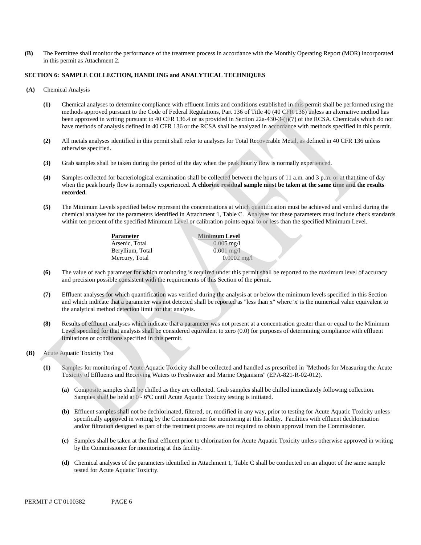in this permit as Attachment 2. **(B)** The Permittee shall monitor the performance of the treatment process in accordance with the Monthly Operating Report (MOR) incorporated

### **SECTION 6: SAMPLE COLLECTION, HANDLING and ANALYTICAL TECHNIQUES**

- $(A)$ **Chemical Analysis** 
	- **(1)** Chemical analyses to determine compliance with effluent limits and conditions established in this permit shall be performed using the methods approved pursuant to the Code of Federal Regulations, Part 136 of Title 40 (40 CFR 136) unless an alternative method has been approved in writing pursuant to 40 CFR 136.4 or as provided in Section 22a-430-3-(j)(7) of the RCSA. Chemicals which do not have methods of analysis defined in 40 CFR 136 or the RCSA shall be analyzed in accordance with methods specified in this permit.
	- **(2)** All metals analyses identified in this permit shall refer to analyses for Total Recoverable Metal, as defined in 40 CFR 136 unless otherwise specified.
	- **(3)** Grab samples shall be taken during the period of the day when the peak hourly flow is normally experienced.
	- **(4)** Samples collected for bacteriological examination shall be collected between the hours of 11 a.m. and 3 p.m. or at that time of day when the peak hourly flow is normally experienced. **A chlorine residual sample must be taken at the same time and the results recorded.**
	- **(5)** The Minimum Levels specified below represent the concentrations at which quantification must be achieved and verified during the chemical analyses for the parameters identified in Attachment 1, Table C. Analyses for these parameters must include check standards within ten percent of the specified Minimum Level or calibration points equal to or less than the specified Minimum Level.

0.0002 mg/l

| <b>Minimum Level</b>    |
|-------------------------|
| $0.005 \,\mathrm{mg}/l$ |
| $0.001 \text{ m}$ g/l   |
| 0.0002                  |
|                         |

- **(6)** The value of each parameter for which monitoring is required under this permit shall be reported to the maximum level of accuracy and precision possible consistent with the requirements of this Section of the permit.
- **(7)** Effluent analyses for which quantification was verified during the analysis at or below the minimum levels specified in this Section and which indicate that a parameter was not detected shall be reported as "less than x" where 'x' is the numerical value equivalent to the analytical method detection limit for that analysis.
- **(8)** Results of effluent analyses which indicate that a parameter was not present at a concentration greater than or equal to the Minimum Level specified for that analysis shall be considered equivalent to zero (0.0) for purposes of determining compliance with effluent limitations or conditions specified in this permit.
- **(B)** Acute Aquatic Toxicity Test
	- **(1)** Samples for monitoring of Acute Aquatic Toxicity shall be collected and handled as prescribed in "Methods for Measuring the Acute Toxicity of Effluents and Receiving Waters to Freshwater and Marine Organisms" (EPA-821-R-02-012).
		- **(a)** Composite samples shall be chilled as they are collected. Grab samples shall be chilled immediately following collection. Samples shall be held at 0 - 6ºC until Acute Aquatic Toxicity testing is initiated.
		- **(b)** Effluent samples shall not be dechlorinated, filtered, or, modified in any way, prior to testing for Acute Aquatic Toxicity unless specifically approved in writing by the Commissioner for monitoring at this facility. Facilities with effluent dechlorination and/or filtration designed as part of the treatment process are not required to obtain approval from the Commissioner.
		- **(c)** Samples shall be taken at the final effluent prior to chlorination for Acute Aquatic Toxicity unless otherwise approved in writing by the Commissioner for monitoring at this facility.
		- **(d)** Chemical analyses of the parameters identified in Attachment 1, Table C shall be conducted on an aliquot of the same sample tested for Acute Aquatic Toxicity.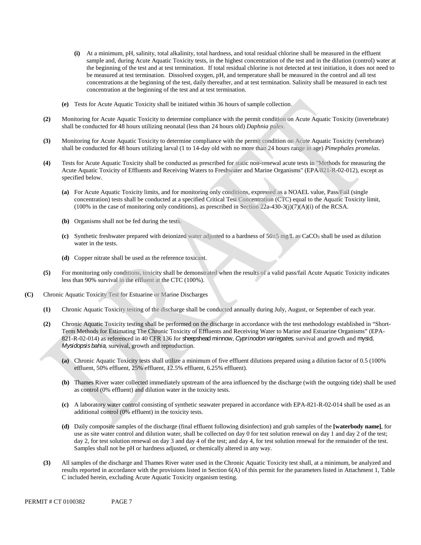- **(i)** At a minimum, pH, salinity, total alkalinity, total hardness, and total residual chlorine shall be measured in the effluent sample and, during Acute Aquatic Toxicity tests, in the highest concentration of the test and in the dilution (control) water at the beginning of the test and at test termination. If total residual chlorine is not detected at test initiation, it does not need to be measured at test termination. Dissolved oxygen, pH, and temperature shall be measured in the control and all test concentrations at the beginning of the test, daily thereafter, and at test termination. Salinity shall be measured in each test concentration at the beginning of the test and at test termination.
- **(e)** Tests for Acute Aquatic Toxicity shall be initiated within 36 hours of sample collection.
- **(2)** Monitoring for Acute Aquatic Toxicity to determine compliance with the permit condition on Acute Aquatic Toxicity (invertebrate) shall be conducted for 48 hours utilizing neonatal (less than 24 hours old) *Daphnia pulex*.
- **(3)** Monitoring for Acute Aquatic Toxicity to determine compliance with the permit condition on Acute Aquatic Toxicity (vertebrate) shall be conducted for 48 hours utilizing larval (1 to 14-day old with no more than 24 hours range in age) *Pimephales promelas*.
- **(4)** Tests for Acute Aquatic Toxicity shall be conducted as prescribed for static non-renewal acute tests in "Methods for measuring the Acute Aquatic Toxicity of Effluents and Receiving Waters to Freshwater and Marine Organisms" (EPA/821-R-02-012), except as specified below.
	- **(a)** For Acute Aquatic Toxicity limits, and for monitoring only conditions, expressed as a NOAEL value, Pass/Fail (single concentration) tests shall be conducted at a specified Critical Test Concentration (CTC) equal to the Aquatic Toxicity limit,  $(100\%$  in the case of monitoring only conditions), as prescribed in Section 22a-430-3(j)(7)(A)(i) of the RCSA.
	- **(b)** Organisms shall not be fed during the tests.
	- **(c)** Synthetic freshwater prepared with deionized water adjusted to a hardness of 50±5 mg/L as CaCO3 shall be used as dilution water in the tests.
	- **(d)** Copper nitrate shall be used as the reference toxicant.
- **(5)** For monitoring only conditions, toxicity shall be demonstrated when the results of a valid pass/fail Acute Aquatic Toxicity indicates less than 90% survival in the effluent at the CTC (100%).
- **(C)** Chronic Aquatic Toxicity Test for Estuarine or Marine Discharges
	- **(1)** Chronic Aquatic Toxicity testing of the discharge shall be conducted annually during July, August, or September of each year.
	- **(2)** Chronic Aquatic Toxicity testing shall be performed on the discharge in accordance with the test methodology established in "Short-Term Methods for Estimating The Chronic Toxicity of Effluents and Receiving Water to Marine and Estuarine Organisms" (EPA-821-R-02-014) as referenced in 40 CFR 136 for sheepshead minnow, *Cyprinodon variegates,* survival and growth and mysid, *Mysidopsis bahia,* survival, growth and reproduction.
		- **(a)** Chronic Aquatic Toxicity tests shall utilize a minimum of five effluent dilutions prepared using a dilution factor of 0.5 (100% effluent, 50% effluent, 25% effluent, 12.5% effluent, 6.25% effluent).
		- **(b)** Thames River water collected immediately upstream of the area influenced by the discharge (with the outgoing tide) shall be used as control (0% effluent) and dilution water in the toxicity tests.
		- **(c)** A laboratory water control consisting of synthetic seawater prepared in accordance with EPA-821-R-02-014 shall be used as an additional control (0% effluent) in the toxicity tests.
		- **(d)** Daily composite samples of the discharge (final effluent following disinfection) and grab samples of the **[waterbody name]**, for use as site water control and dilution water, shall be collected on day 0 for test solution renewal on day 1 and day 2 of the test; day 2, for test solution renewal on day 3 and day 4 of the test; and day 4, for test solution renewal for the remainder of the test. Samples shall not be pH or hardness adjusted, or chemically altered in any way.
	- **(3)** All samples of the discharge and Thames River water used in the Chronic Aquatic Toxicity test shall, at a minimum, be analyzed and results reported in accordance with the provisions listed in Section 6(A) of this permit for the parameters listed in Attachment 1, Table C included herein, excluding Acute Aquatic Toxicity organism testing.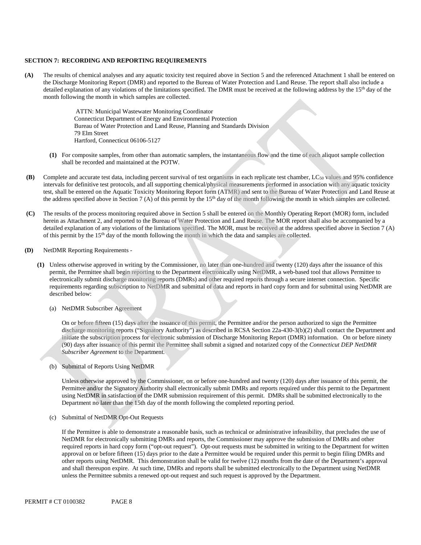#### **SECTION 7: RECORDING AND REPORTING REQUIREMENTS**

**(A)** The results of chemical analyses and any aquatic toxicity test required above in Section 5 and the referenced Attachment 1 shall be entered on the Discharge Monitoring Report (DMR) and reported to the Bureau of Water Protection and Land Reuse. The report shall also include a detailed explanation of any violations of the limitations specified. The DMR must be received at the following address by the 15<sup>th</sup> day of the month following the month in which samples are collected.

> ATTN: Municipal Wastewater Monitoring Coordinator Connecticut Department of Energy and Environmental Protection Bureau of Water Protection and Land Reuse, Planning and Standards Division 79 Elm Street Hartford, Connecticut 06106-5127

- **(1)** For composite samples, from other than automatic samplers, the instantaneous flow and the time of each aliquot sample collection shall be recorded and maintained at the POTW.
- **(B)** Complete and accurate test data, including percent survival of test organisms in each replicate test chamber, LC<sub>50</sub> values and 95% confidence intervals for definitive test protocols, and all supporting chemical/physical measurements performed in association with any aquatic toxicity test, shall be entered on the Aquatic Toxicity Monitoring Report form (ATMR) and sent to the Bureau of Water Protection and Land Reuse at the address specified above in Section 7 (A) of this permit by the  $15<sup>th</sup>$  day of the month following the month in which samples are collected.
- **(C)** The results of the process monitoring required above in Section 5 shall be entered on the Monthly Operating Report (MOR) form, included herein as Attachment 2, and reported to the Bureau of Water Protection and Land Reuse. The MOR report shall also be accompanied by a detailed explanation of any violations of the limitations specified. The MOR, must be received at the address specified above in Section 7 (A) of this permit by the 15th day of the month following the month in which the data and samples are collected.
- **(D)** NetDMR Reporting Requirements
	- **(1)** Unless otherwise approved in writing by the Commissioner, no later than one-hundred and twenty (120) days after the issuance of this permit, the Permittee shall begin reporting to the Department electronically using NetDMR, a web-based tool that allows Permittee to electronically submit discharge monitoring reports (DMRs) and other required reports through a secure internet connection. Specific requirements regarding subscription to NetDMR and submittal of data and reports in hard copy form and for submittal using NetDMR are described below:
		- (a) NetDMR Subscriber Agreement

On or before fifteen (15) days after the issuance of this permit, the Permittee and/or the person authorized to sign the Permittee discharge monitoring reports ("Signatory Authority") as described in RCSA Section 22a-430-3(b)(2) shall contact the Department and initiate the subscription process for electronic submission of Discharge Monitoring Report (DMR) information. On or before ninety (90) days after issuance of this permit the Permittee shall submit a signed and notarized copy of the *Connecticut DEP NetDMR Subscriber Agreement* to the Department*.* 

(b) Submittal of Reports Using NetDMR

Unless otherwise approved by the Commissioner, on or before one-hundred and twenty (120) days after issuance of this permit, the Permittee and/or the Signatory Authority shall electronically submit DMRs and reports required under this permit to the Department using NetDMR in satisfaction of the DMR submission requirement of this permit. DMRs shall be submitted electronically to the Department no later than the 15th day of the month following the completed reporting period.

(c) Submittal of NetDMR Opt-Out Requests

 required reports in hard copy form ("opt-out request"). Opt-out requests must be submitted in writing to the Department for written other reports using NetDMR. This demonstration shall be valid for twelve (12) months from the date of the Department's approval and shall thereupon expire. At such time, DMRs and reports shall be submitted electronically to the Department using NetDMR If the Permittee is able to demonstrate a reasonable basis, such as technical or administrative infeasibility, that precludes the use of NetDMR for electronically submitting DMRs and reports, the Commissioner may approve the submission of DMRs and other approval on or before fifteen (15) days prior to the date a Permittee would be required under this permit to begin filing DMRs and unless the Permittee submits a renewed opt-out request and such request is approved by the Department.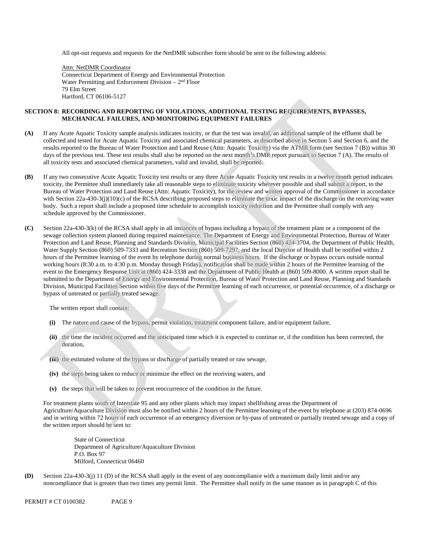All opt-out requests and requests for the NetDMR subscriber form should be sent to the following address:

Water Permitting and Enforcement Division  $-2<sup>nd</sup>$  Floor Attn: NetDMR Coordinator Connecticut Department of Energy and Environmental Protection 79 Elm Street Hartford, CT 06106-5127

### **SECTION 8: RECORDING AND REPORTING OF VIOLATIONS, ADDITIONAL TESTING REQUIREMENTS, BYPASSES, MECHANICAL FAILURES, AND MONITORING EQUIPMENT FAILURES**

- **(A)** If any Acute Aquatic Toxicity sample analysis indicates toxicity, or that the test was invalid, an additional sample of the effluent shall be collected and tested for Acute Aquatic Toxicity and associated chemical parameters, as described above in Section 5 and Section 6, and the results reported to the Bureau of Water Protection and Land Reuse (Attn: Aquatic Toxicity) via the ATMR form (see Section 7 (B)) within 30 days of the previous test. These test results shall also be reported on the next month's DMR report pursuant to Section 7 (A). The results of all toxicity tests and associated chemical parameters, valid and invalid, shall be reported.
- **(B)** If any two consecutive Acute Aquatic Toxicity test results or any three Acute Aquatic Toxicity test results in a twelve month period indicates toxicity, the Permittee shall immediately take all reasonable steps to eliminate toxicity wherever possible and shall submit a report, to the Bureau of Water Protection and Land Reuse (Attn: Aquatic Toxicity), for the review and written approval of the Commissioner in accordance with Section 22a-430-3(j)(10)(c) of the RCSA describing proposed steps to eliminate the toxic impact of the discharge on the receiving water body. Such a report shall include a proposed time schedule to accomplish toxicity reduction and the Permittee shall comply with any schedule approved by the Commissioner.
- **(C)** Section 22a-430-3(k) of the RCSA shall apply in all instances of bypass including a bypass of the treatment plant or a component of the sewage collection system planned during required maintenance. The Department of Energy and Environmental Protection, Bureau of Water Protection and Land Reuse, Planning and Standards Division, Municipal Facilities Section (860) 424-3704, the Department of Public Health, Water Supply Section (860) 509-7333 and Recreation Section (860) 509-7297, and the local Director of Health shall be notified within 2 hours of the Permittee learning of the event by telephone during normal business hours. If the discharge or bypass occurs outside normal working hours (8:30 a.m. to 4:30 p.m. Monday through Friday), notification shall be made within 2 hours of the Permittee learning of the event to the Emergency Response Unit at (860) 424-3338 and the Department of Public Health at (860) 509-8000. A written report shall be submitted to the Department of Energy and Environmental Protection, Bureau of Water Protection and Land Reuse, Planning and Standards Division, Municipal Facilities Section within five days of the Permittee learning of each occurrence, or potential occurrence, of a discharge or bypass of untreated or partially treated sewage.

The written report shall contain:

- **(i)** The nature and cause of the bypass, permit violation, treatment component failure, and/or equipment failure,
- **(ii)** the time the incident occurred and the anticipated time which it is expected to continue or, if the condition has been corrected, the duration,
- **(iii)** the estimated volume of the bypass or discharge of partially treated or raw sewage,
- **(iv)** the steps being taken to reduce or minimize the effect on the receiving waters, and
- **(v)** the steps that will be taken to prevent reoccurrence of the condition in the future.

For treatment plants south of Interstate 95 and any other plants which may impact shellfishing areas the Department of Agriculture/Aquaculture Division must also be notified within 2 hours of the Permittee learning of the event by telephone at (203) 874-0696 and in writing within 72 hours of each occurrence of an emergency diversion or by-pass of untreated or partially treated sewage and a copy of the written report should be sent to:

State of Connecticut Department of Agriculture/Aquaculture Division P.O. Box 97 Milford, Connecticut 06460

**(D)** Section 22a-430-3(j) 11 (D) of the RCSA shall apply in the event of any noncompliance with a maximum daily limit and/or any noncompliance that is greater than two times any permit limit. The Permittee shall notify in the same manner as in paragraph C of this

PERMIT # CT 0100382 PAGE 9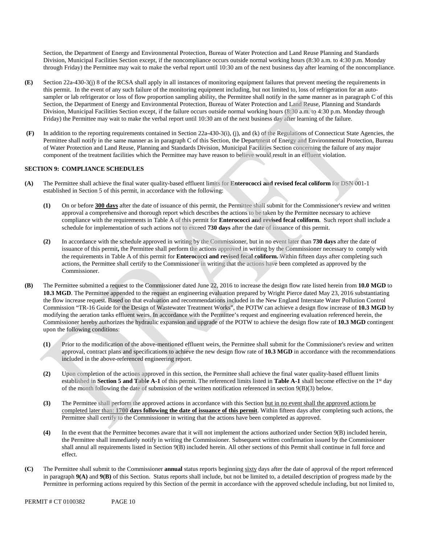Section, the Department of Energy and Environmental Protection, Bureau of Water Protection and Land Reuse Planning and Standards Division, Municipal Facilities Section except, if the noncompliance occurs outside normal working hours (8:30 a.m. to 4:30 p.m. Monday through Friday) the Permittee may wait to make the verbal report until 10:30 am of the next business day after learning of the noncompliance.

- **(E)** Section 22a-430-3(j) 8 of the RCSA shall apply in all instances of monitoring equipment failures that prevent meeting the requirements in this permit. In the event of any such failure of the monitoring equipment including, but not limited to, loss of refrigeration for an autosampler or lab refrigerator or loss of flow proportion sampling ability, the Permittee shall notify in the same manner as in paragraph C of this Section, the Department of Energy and Environmental Protection, Bureau of Water Protection and Land Reuse, Planning and Standards Division, Municipal Facilities Section except, if the failure occurs outside normal working hours (8:30 a.m. to 4:30 p.m. Monday through Friday) the Permittee may wait to make the verbal report until 10:30 am of the next business day after learning of the failure.
- **(F)** In addition to the reporting requirements contained in Section 22a-430-3(i), (j), and (k) of the Regulations of Connecticut State Agencies, the Permittee shall notify in the same manner as in paragraph C of this Section, the Department of Energy and Environmental Protection, Bureau of Water Protection and Land Reuse, Planning and Standards Division, Municipal Facilities Section concerning the failure of any major component of the treatment facilities which the Permittee may have reason to believe would result in an effluent violation.

### **SECTION 9: COMPLIANCE SCHEDULES**

- **(A)** The Permittee shall achieve the final water quality-based effluent limits for **Enterococci and revised fecal coliform** for DSN 001-1 established in Section 5 of this permit, in accordance with the following:
	- **(1)** On or before **300 days** after the date of issuance of this permit, the Permittee shall submit for the Commissioner's review and written approval a comprehensive and thorough report which describes the actions to be taken by the Permittee necessary to achieve compliance with the requirements in Table A of this permit for **Enterococci and revised fecal coliform**. Such report shall include a schedule for implementation of such actions not to exceed **730 days** after the date of issuance of this permit.
	- **(2)** In accordance with the schedule approved in writing by the Commissioner, but in no event later than **730 days** after the date of issuance of this permit**,** the Permittee shall perform the actions approved in writing by the Commissioner necessary to comply with the requirements in Table A of this permit for **Enterococci and revised fecal coliform.** Within fifteen days after completing such actions, the Permittee shall certify to the Commissioner in writing that the actions have been completed as approved by the Commissioner.
- **(B)** The Permittee submitted a request to the Commissioner dated June 22, 2016 to increase the design flow rate listed herein from **10.0 MGD** to **10.3 MGD**. The Permittee appended to the request an engineering evaluation prepared by Wright Pierce dated May 23, 2016 substantiating the flow increase request. Based on that evaluation and recommendations included in the New England Interstate Water Pollution Control Commission "TR-16 Guide for the Design of Wastewater Treatment Works", the POTW can achieve a design flow increase of **10.3 MGD** by modifying the aeration tanks effluent weirs. In accordance with the Permittee's request and engineering evaluation referenced herein, the Commissioner hereby authorizes the hydraulic expansion and upgrade of the POTW to achieve the design flow rate of **10.3 MGD** contingent upon the following conditions:
	- **(1)** Prior to the modification of the above-mentioned effluent weirs, the Permittee shall submit for the Commissioner's review and written approval, contract plans and specifications to achieve the new design flow rate of **10.3 MGD** in accordance with the recommendations included in the above-referenced engineering report.
	- **(2)** Upon completion of the actions approved in this section, the Permittee shall achieve the final water quality-based effluent limits established in **Section 5 and Table A-1** of this permit. The referenced limits listed in **Table A-1** shall become effective on the 1st day of the month following the date of submission of the written notification referenced in section 9(B)(3) below.
	- **(3)** The Permittee shall perform the approved actions in accordance with this Section but in no event shall the approved actions be completed later than: **1700 days following the date of issuance of this permit**. Within fifteen days after completing such actions, the Permittee shall certify to the Commissioner in writing that the actions have been completed as approved.
	- **(4)** In the event that the Permittee becomes aware that it will not implement the actions authorized under Section 9(B) included herein, the Permittee shall immediately notify in writing the Commissioner. Subsequent written confirmation issued by the Commissioner shall annul all requirements listed in Section 9(B) included herein. All other sections of this Permit shall continue in full force and effect.
- **(C)** The Permittee shall submit to the Commissioner **annual** status reports beginning sixty days after the date of approval of the report referenced in paragraph **9(A)** and **9(B)** of this Section. Status reports shall include, but not be limited to, a detailed description of progress made by the Permittee in performing actions required by this Section of the permit in accordance with the approved schedule including, but not limited to,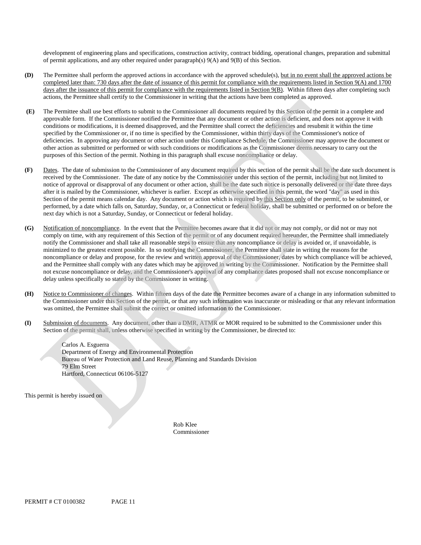development of engineering plans and specifications, construction activity, contract bidding, operational changes, preparation and submittal of permit applications, and any other required under paragraph(s) 9(A) and 9(B) of this Section.

- **(D)** The Permittee shall perform the approved actions in accordance with the approved schedule(s), but in no event shall the approved actions be completed later than: 730 days after the date of issuance of this permit for compliance with the requirements listed in Section 9(A) and 1700 days after the issuance of this permit for compliance with the requirements listed in Section 9(B). Within fifteen days after completing such actions, the Permittee shall certify to the Commissioner in writing that the actions have been completed as approved.
- **(E)** The Permittee shall use best efforts to submit to the Commissioner all documents required by this Section of the permit in a complete and approvable form. If the Commissioner notified the Permittee that any document or other action is deficient, and does not approve it with conditions or modifications, it is deemed disapproved, and the Permittee shall correct the deficiencies and resubmit it within the time specified by the Commissioner or, if no time is specified by the Commissioner, within thirty days of the Commissioner's notice of deficiencies. In approving any document or other action under this Compliance Schedule, the Commissioner may approve the document or other action as submitted or performed or with such conditions or modifications as the Commissioner deems necessary to carry out the purposes of this Section of the permit. Nothing in this paragraph shall excuse noncompliance or delay.
- **(F)** Dates. The date of submission to the Commissioner of any document required by this section of the permit shall be the date such document is received by the Commissioner. The date of any notice by the Commissioner under this section of the permit, including but not limited to notice of approval or disapproval of any document or other action, shall be the date such notice is personally delivered or the date three days after it is mailed by the Commissioner, whichever is earlier. Except as otherwise specified in this permit, the word "day" as used in this Section of the permit means calendar day. Any document or action which is required by this Section only of the permit, to be submitted, or performed, by a date which falls on, Saturday, Sunday, or, a Connecticut or federal holiday, shall be submitted or performed on or before the next day which is not a Saturday, Sunday, or Connecticut or federal holiday.
- **(G)** Notification of noncompliance. In the event that the Permittee becomes aware that it did not or may not comply, or did not or may not comply on time, with any requirement of this Section of the permit or of any document required hereunder, the Permittee shall immediately notify the Commissioner and shall take all reasonable steps to ensure that any noncompliance or delay is avoided or, if unavoidable, is minimized to the greatest extent possible. In so notifying the Commissioner, the Permittee shall state in writing the reasons for the noncompliance or delay and propose, for the review and written approval of the Commissioner, dates by which compliance will be achieved, and the Permittee shall comply with any dates which may be approved in writing by the Commissioner. Notification by the Permittee shall not excuse noncompliance or delay, and the Commissioner's approval of any compliance dates proposed shall not excuse noncompliance or delay unless specifically so stated by the Commissioner in writing.
- **(H)** Notice to Commissioner of changes. Within fifteen days of the date the Permittee becomes aware of a change in any information submitted to the Commissioner under this Section of the permit, or that any such information was inaccurate or misleading or that any relevant information was omitted, the Permittee shall submit the correct or omitted information to the Commissioner.
- **(I)** Submission of documents. Any document, other than a DMR, ATMR or MOR required to be submitted to the Commissioner under this Section of the permit shall, unless otherwise specified in writing by the Commissioner, be directed to:

Carlos A. Esguerra Department of Energy and Environmental Protection Bureau of Water Protection and Land Reuse, Planning and Standards Division 79 Elm Street Hartford, Connecticut 06106-5127

This permit is hereby issued on

Rob Klee Commissioner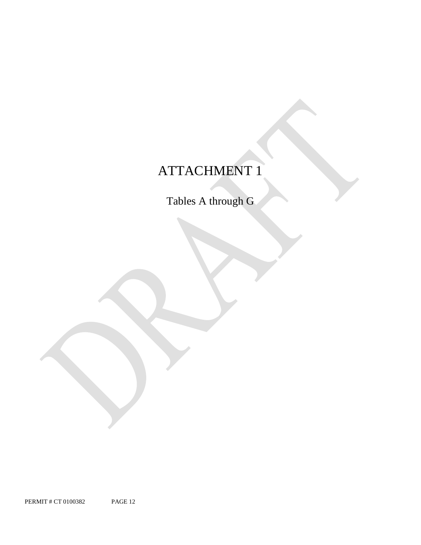# ATTACHMENT 1

Tables A through G

PERMIT # CT 0100382 PAGE 12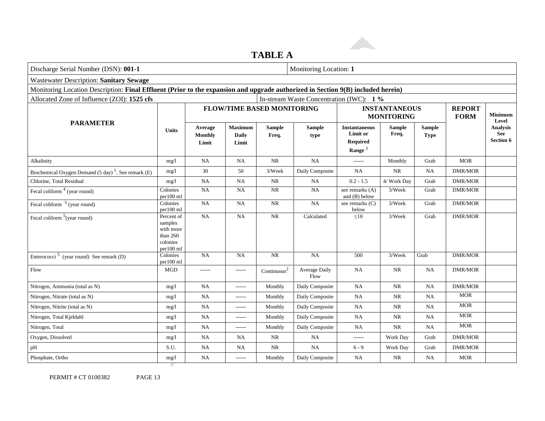### **TABLE A**

| Discharge Serial Number (DSN): 001-1                                                                                            | Monitoring Location: 1                                                    |                                    |                                         |                                   |                                          |                                                           |                                           |                              |                         |                                                   |
|---------------------------------------------------------------------------------------------------------------------------------|---------------------------------------------------------------------------|------------------------------------|-----------------------------------------|-----------------------------------|------------------------------------------|-----------------------------------------------------------|-------------------------------------------|------------------------------|-------------------------|---------------------------------------------------|
| <b>Wastewater Description: Sanitary Sewage</b>                                                                                  |                                                                           |                                    |                                         |                                   |                                          |                                                           |                                           |                              |                         |                                                   |
| Monitoring Location Description: Final Effluent (Prior to the expansion and upgrade authorized in Section 9(B) included herein) |                                                                           |                                    |                                         |                                   |                                          |                                                           |                                           |                              |                         |                                                   |
| Allocated Zone of Influence (ZOI): 1525 cfs                                                                                     |                                                                           |                                    |                                         |                                   | In-stream Waste Concentration (IWC): 1 % |                                                           |                                           |                              |                         |                                                   |
|                                                                                                                                 |                                                                           |                                    |                                         | <b>FLOW/TIME BASED MONITORING</b> |                                          |                                                           | <b>INSTANTANEOUS</b><br><b>MONITORING</b> | <b>REPORT</b><br><b>FORM</b> | <b>Minimum</b><br>Level |                                                   |
| <b>PARAMETER</b>                                                                                                                | <b>Units</b>                                                              | Average<br><b>Monthly</b><br>Limit | <b>Maximum</b><br><b>Daily</b><br>Limit | <b>Sample</b><br>Freq.            | <b>Sample</b><br>type                    | <b>Instantaneous</b><br>Limit or<br>Required<br>Range $3$ | <b>Sample</b><br>Freq.                    | <b>Sample</b><br><b>Type</b> |                         | <b>Analysis</b><br><b>See</b><br><b>Section 6</b> |
| Alkalinity                                                                                                                      | mg/l                                                                      | <b>NA</b>                          | <b>NA</b>                               | $\rm NR$                          | NA                                       | ------                                                    | Monthly                                   | Grab                         | <b>MOR</b>              |                                                   |
| Biochemical Oxygen Demand $(5 \text{ day})$ <sup>1</sup> , See remark $(E)$                                                     | mg/1                                                                      | 30                                 | 50                                      | 3/Week                            | Daily Composite                          | <b>NA</b>                                                 | NR.                                       | NA                           | DMR/MOR                 |                                                   |
| Chlorine, Total Residual                                                                                                        | mg/l                                                                      | <b>NA</b>                          | NA                                      | $\rm NR$                          | NA                                       | $0.2 - 1.5$                                               | 4/ Work Day                               | Grab                         | <b>DMR/MOR</b>          |                                                   |
| Fecal coliform $4$ (year round)                                                                                                 | Colonies<br>per100 ml                                                     | <b>NA</b>                          | <b>NA</b>                               | $\rm NR$                          | NA                                       | see remarks (A)<br>and $(B)$ below                        | 3/Week                                    | Grab                         | <b>DMR/MOR</b>          |                                                   |
| Fecal coliform <sup>5</sup> (year round)                                                                                        | Colonies<br>per100 ml                                                     | NA                                 | $\rm NA$                                | $\rm NR$                          | NA                                       | see remarks (C)<br>below                                  | 3/Week                                    | Grab                         | DMR/MOR                 |                                                   |
| Fecal coliform <sup>5</sup> (year round)                                                                                        | Percent of<br>samples<br>with more<br>than $260$<br>colonies<br>per100 ml | NA                                 | <b>NA</b>                               | NR                                | Calculated                               | $\leq10$                                                  | 3/Week                                    | Grab                         | <b>DMR/MOR</b>          |                                                   |
| Enterococci <sup>5</sup> (year round) See remark (D)                                                                            | Colonies<br>per100 ml                                                     | <b>NA</b>                          | NA                                      | $\rm NR$                          | NA                                       | 500                                                       | 3/Week                                    | Grab                         | <b>DMR/MOR</b>          |                                                   |
| Flow                                                                                                                            | <b>MGD</b>                                                                | ------                             | $- - - - - -$                           | Continuous <sup>2</sup>           | Average Daily<br>Flow                    | <b>NA</b>                                                 | <b>NR</b>                                 | NA                           | <b>DMR/MOR</b>          |                                                   |
| Nitrogen, Ammonia (total as N)                                                                                                  | mg/l                                                                      | <b>NA</b>                          | $-----1$                                | Monthly                           | Daily Composite                          | <b>NA</b>                                                 | NR                                        | <b>NA</b>                    | <b>DMR/MOR</b>          |                                                   |
| Nitrogen, Nitrate (total as N)                                                                                                  | mg/1                                                                      | NA                                 | ------                                  | Monthly                           | Daily Composite                          | <b>NA</b>                                                 | NR                                        | <b>NA</b>                    | <b>MOR</b>              |                                                   |
| Nitrogen, Nitrite (total as N)                                                                                                  | mg/1                                                                      | NA                                 | ------                                  | Monthly                           | Daily Composite                          | <b>NA</b>                                                 | NR                                        | <b>NA</b>                    | <b>MOR</b>              |                                                   |
| Nitrogen, Total Kjeldahl                                                                                                        | mg/1                                                                      | <b>NA</b>                          | ------                                  | Monthly                           | Daily Composite                          | NA                                                        | <b>NR</b>                                 | NA                           | <b>MOR</b>              |                                                   |
| Nitrogen, Total                                                                                                                 | mg/l                                                                      | <b>NA</b>                          | $-----$                                 | Monthly                           | Daily Composite                          | <b>NA</b>                                                 | <b>NR</b>                                 | <b>NA</b>                    | <b>MOR</b>              |                                                   |
| Oxygen, Dissolved                                                                                                               | mg/l                                                                      | <b>NA</b>                          | NA                                      | NR                                | <b>NA</b>                                | ------                                                    | Work Day                                  | Grab                         | <b>DMR/MOR</b>          |                                                   |
| pH                                                                                                                              | S.U.                                                                      | <b>NA</b>                          | NA                                      | <b>NR</b>                         | <b>NA</b>                                | $6 - 9$                                                   | Work Day                                  | Grab                         | <b>DMR/MOR</b>          |                                                   |
| Phosphate, Ortho                                                                                                                | mg/1                                                                      | <b>NA</b>                          | ------                                  | Monthly                           | Daily Composite                          | <b>NA</b>                                                 | NR                                        | <b>NA</b>                    | <b>MOR</b>              |                                                   |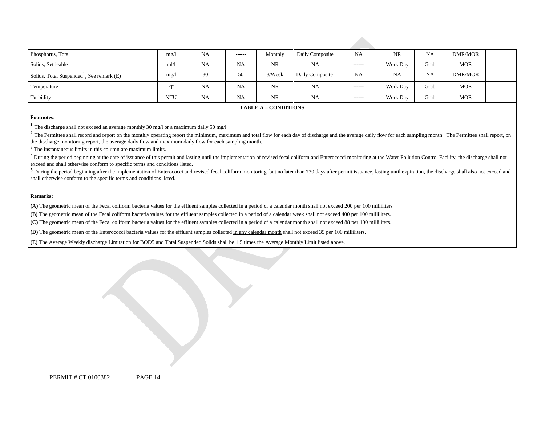| Phosphorus, Total                                     | mg/l             | <b>NA</b> | $- - - - - -$ | Monthly   | Daily Composite | <b>NA</b>     | <b>NR</b>       | <b>NA</b> | DMR/MOR    |  |
|-------------------------------------------------------|------------------|-----------|---------------|-----------|-----------------|---------------|-----------------|-----------|------------|--|
| Solids, Settleable                                    | m1/1             | <b>NA</b> | NA            | <b>NR</b> | NA              | $- - - - - -$ | Work Day        | Grab      | <b>MOR</b> |  |
| Solids, Total Suspended <sup>1</sup> , See remark (E) | mg/l             | 30        | 50            | 3/Week    | Daily Composite | <b>NA</b>     | <b>NA</b>       | <b>NA</b> | DMR/MOR    |  |
| Temperature                                           | $\sigma_{\rm E}$ | <b>NA</b> | <b>NA</b>     | <b>NR</b> | <b>NA</b>       | $- - - - - -$ | <b>Work Day</b> | Grab      | <b>MOR</b> |  |
| Turbidity                                             | <b>NTU</b>       | <b>NA</b> | <b>NA</b>     | <b>NR</b> | NA              | $- - - - - -$ | Work Day        | Grab      | <b>MOR</b> |  |

#### **TABLE A – CONDITIONS**

#### **Footnotes:**

**<sup>1</sup>**The discharge shall not exceed an average monthly 30 mg/l or a maximum daily 50 mg/l

<sup>2</sup> The Permittee shall record and report on the monthly operating report the minimum, maximum and total flow for each day of discharge and the average daily flow for each sampling month. The Permittee shall report, on the discharge monitoring report, the average daily flow and maximum daily flow for each sampling month.

**<sup>3</sup>**The instantaneous limits in this column are maximum limits.

<sup>4</sup> During the period beginning at the date of issuance of this permit and lasting until the implementation of revised fecal coliform and Enterococci monitoring at the Water Pollution Control Facility, the discharge shall exceed and shall otherwise conform to specific terms and conditions listed.

<sup>5</sup> During the period beginning after the implementation of Enterococci and revised fecal coliform monitoring, but no later than 730 days after permit issuance, lasting until expiration, the discharge shall also not exceed shall otherwise conform to the specific terms and conditions listed.

#### **Remarks:**

**(A)** The geometric mean of the Fecal coliform bacteria values for the effluent samples collected in a period of a calendar month shall not exceed 200 per 100 milliliters

**(B)** The geometric mean of the Fecal coliform bacteria values for the effluent samples collected in a period of a calendar week shall not exceed 400 per 100 milliliters.

**(C)** The geometric mean of the Fecal coliform bacteria values for the effluent samples collected in a period of a calendar month shall not exceed 88 per 100 milliliters.

**(D)** The geometric mean of the Enterococci bacteria values for the effluent samples collected in any calendar month shall not exceed 35 per 100 milliliters.

**(E)** The Average Weekly discharge Limitation for BOD5 and Total Suspended Solids shall be 1.5 times the Average Monthly Limit listed above.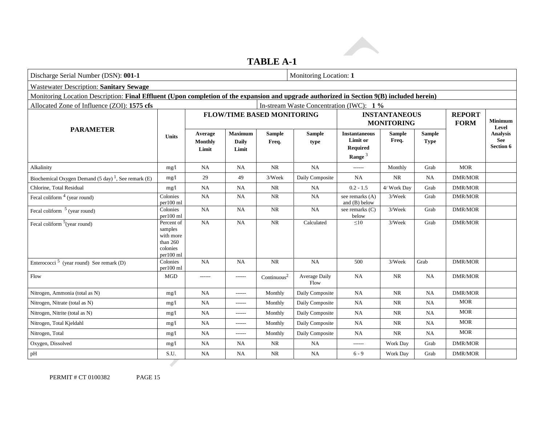### **TABLE A-1**

| Discharge Serial Number (DSN): 001-1                                                                                                      |                                                                         |                             |                                         |                                   | Monitoring Location: 1                   |                                                                  |                                           |                              |                         |                              |
|-------------------------------------------------------------------------------------------------------------------------------------------|-------------------------------------------------------------------------|-----------------------------|-----------------------------------------|-----------------------------------|------------------------------------------|------------------------------------------------------------------|-------------------------------------------|------------------------------|-------------------------|------------------------------|
| <b>Wastewater Description: Sanitary Sewage</b>                                                                                            |                                                                         |                             |                                         |                                   |                                          |                                                                  |                                           |                              |                         |                              |
| Monitoring Location Description: Final Effluent (Upon completion of the expansion and upgrade authorized in Section 9(B) included herein) |                                                                         |                             |                                         |                                   |                                          |                                                                  |                                           |                              |                         |                              |
| Allocated Zone of Influence (ZOI): 1575 cfs                                                                                               |                                                                         |                             |                                         |                                   | In-stream Waste Concentration (IWC): 1 % |                                                                  |                                           |                              |                         |                              |
|                                                                                                                                           |                                                                         |                             |                                         | <b>FLOW/TIME BASED MONITORING</b> |                                          |                                                                  | <b>INSTANTANEOUS</b><br><b>MONITORING</b> | <b>REPORT</b><br><b>FORM</b> | <b>Minimum</b><br>Level |                              |
| <b>PARAMETER</b>                                                                                                                          | <b>Units</b>                                                            | Average<br>Monthly<br>Limit | <b>Maximum</b><br><b>Daily</b><br>Limit | <b>Sample</b><br>Freq.            | <b>Sample</b><br>type                    | <b>Instantaneous</b><br>Limit or<br><b>Required</b><br>Range $3$ | <b>Sample</b><br>Freq.                    | <b>Sample</b><br><b>Type</b> |                         | Analysis<br>See<br>Section 6 |
| Alkalinity                                                                                                                                | mg/1                                                                    | NA                          | <b>NA</b>                               | <b>NR</b>                         | NA                                       | ------                                                           | Monthly                                   | Grab                         | <b>MOR</b>              |                              |
| Biochemical Oxygen Demand $(5 \text{ day})^1$ , See remark (E)                                                                            | mg/1                                                                    | 29                          | 49                                      | 3/Week                            | Daily Composite                          | <b>NA</b>                                                        | <b>NR</b>                                 | <b>NA</b>                    | <b>DMR/MOR</b>          |                              |
| Chlorine, Total Residual                                                                                                                  | mg/1                                                                    | <b>NA</b>                   | <b>NA</b>                               | <b>NR</b>                         | NA                                       | $0.2 - 1.5$                                                      | 4/ Work Day                               | Grab                         | <b>DMR/MOR</b>          |                              |
| Fecal coliform $4$ (year round)                                                                                                           | Colonies<br>per100 ml                                                   | <b>NA</b>                   | <b>NA</b>                               | NR                                | NA                                       | see remarks (A)<br>and $(B)$ below                               | 3/Week                                    | Grab                         | <b>DMR/MOR</b>          |                              |
| Fecal coliform $5$ (year round)                                                                                                           | Colonies<br>per100 ml                                                   | NA                          | <b>NA</b>                               | <b>NR</b>                         | NA                                       | see remarks (C)<br>below                                         | 3/Week                                    | Grab                         | <b>DMR/MOR</b>          |                              |
| Fecal coliform $5$ (year round)                                                                                                           | Percent of<br>samples<br>with more<br>than 260<br>colonies<br>per100 ml | NA                          | <b>NA</b>                               | $\overline{\text{NR}}$            | Calculated                               | $\leq 10$                                                        | 3/Week                                    | Grab                         | <b>DMR/MOR</b>          |                              |
| Enterococci <sup>5</sup> (year round) See remark (D)                                                                                      | Colonies<br>per100 ml                                                   | NA                          | <b>NA</b>                               | <b>NR</b>                         | NA                                       | 500                                                              | 3/Week                                    | Grab                         | <b>DMR/MOR</b>          |                              |
| Flow                                                                                                                                      | <b>MGD</b>                                                              | ------                      | ------                                  | Continuous <sup>2</sup>           | Average Daily<br>Flow                    | <b>NA</b>                                                        | <b>NR</b>                                 | <b>NA</b>                    | <b>DMR/MOR</b>          |                              |
| Nitrogen, Ammonia (total as N)                                                                                                            | mg/1                                                                    | <b>NA</b>                   | ------                                  | Monthly                           | Daily Composite                          | <b>NA</b>                                                        | <b>NR</b>                                 | <b>NA</b>                    | <b>DMR/MOR</b>          |                              |
| Nitrogen, Nitrate (total as N)                                                                                                            | mg/l                                                                    | NA                          | ------                                  | Monthly                           | Daily Composite                          | NA                                                               | $\rm NR$                                  | NA                           | <b>MOR</b>              |                              |
| Nitrogen, Nitrite (total as N)                                                                                                            | mg/1                                                                    | NA                          | ------                                  | Monthly                           | Daily Composite                          | NA                                                               | NR                                        | <b>NA</b>                    | <b>MOR</b>              |                              |
| Nitrogen, Total Kjeldahl                                                                                                                  | mg/1                                                                    | $\rm NA$                    | ------                                  | Monthly                           | Daily Composite                          | NA                                                               | $\rm NR$                                  | NA                           | <b>MOR</b>              |                              |
| Nitrogen, Total                                                                                                                           | mg/1                                                                    | <b>NA</b>                   | ------                                  | Monthly                           | Daily Composite                          | <b>NA</b>                                                        | NR                                        | <b>NA</b>                    | <b>MOR</b>              |                              |
| Oxygen, Dissolved                                                                                                                         | mg/1                                                                    | NA                          | <b>NA</b>                               | NR                                | NA                                       | ------                                                           | Work Day                                  | Grab                         | DMR/MOR                 |                              |
| pH                                                                                                                                        | S.U.                                                                    | NA                          | NA                                      | NR                                | <b>NA</b>                                | $6 - 9$                                                          | Work Day                                  | Grab                         | <b>DMR/MOR</b>          |                              |
|                                                                                                                                           |                                                                         |                             |                                         |                                   |                                          |                                                                  |                                           |                              |                         |                              |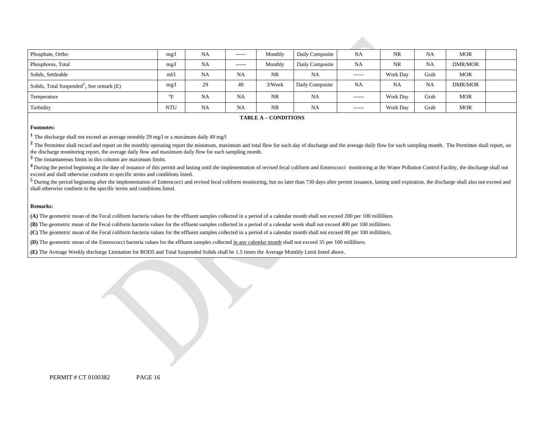| Phosphate, Ortho                                        | mg/l                      | NA        | -------   | Monthly   | Daily Composite | NA            | <b>NR</b> | <b>NA</b> | MOR        |  |
|---------------------------------------------------------|---------------------------|-----------|-----------|-----------|-----------------|---------------|-----------|-----------|------------|--|
| Phosphorus, Total                                       | mg/l                      | <b>NA</b> | -------   | Monthly   | Daily Composite | <b>NA</b>     | <b>NR</b> | <b>NA</b> | DMR/MOR    |  |
| Solids, Settleable                                      | m1/1                      | <b>NA</b> | <b>NA</b> | <b>NR</b> | NA              | -------       | Work Day  | Grab      | <b>MOR</b> |  |
| Solids, Total Suspended <sup>1</sup> , See remark $(E)$ | mg/l                      | 29        | 49        | 3/Week    | Daily Composite | NA            | <b>NA</b> | <b>NA</b> | DMR/MOR    |  |
| Temperature                                             | $^{\mathrm{o}}\mathbf{E}$ | <b>NA</b> | <b>NA</b> | <b>NR</b> | <b>NA</b>       | $- - - - - -$ | Work Day  | Grab      | MOR        |  |
| Turbidity                                               | <b>NTU</b>                | <b>NA</b> | <b>NA</b> | <b>NR</b> | NA              | $- - - - - -$ | Work Day  | Grab      | MOR        |  |

**TABLE A – CONDITIONS** 

#### **Footnotes:**

**<sup>1</sup>**The discharge shall not exceed an average monthly 29 mg/l or a maximum daily 49 mg/l

<sup>2</sup> The Permittee shall record and report on the monthly operating report the minimum, maximum and total flow for each day of discharge and the average daily flow for each sampling month. The Permittee shall report, on the discharge monitoring report, the average daily flow and maximum daily flow for each sampling month.

**<sup>3</sup>**The instantaneous limits in this column are maximum limits.

<sup>4</sup> During the period beginning at the date of issuance of this permit and lasting until the implementation of revised fecal coliform and Enterococci monitoring at the Water Pollution Control Facility, the discharge shall exceed and shall otherwise conform to specific terms and conditions listed.

<sup>5</sup> During the period beginning after the implementation of Enterococci and revised fecal coliform monitoring, but no later than 730 days after permit issuance, lasting until expiration, the discharge shall also not exceed shall otherwise conform to the specific terms and conditions listed.

#### **Remarks:**

**(A)** The geometric mean of the Fecal coliform bacteria values for the effluent samples collected in a period of a calendar month shall not exceed 200 per 100 milliliters

**(B)** The geometric mean of the Fecal coliform bacteria values for the effluent samples collected in a period of a calendar week shall not exceed 400 per 100 milliliters.

**(C)** The geometric mean of the Fecal coliform bacteria values for the effluent samples collected in a period of a calendar month shall not exceed 88 per 100 milliliters.

**(D)** The geometric mean of the Enterococci bacteria values for the effluent samples collected in any calendar month shall not exceed 35 per 100 milliliters.

**(E)** The Average Weekly discharge Limitation for BOD5 and Total Suspended Solids shall be 1.5 times the Average Monthly Limit listed above.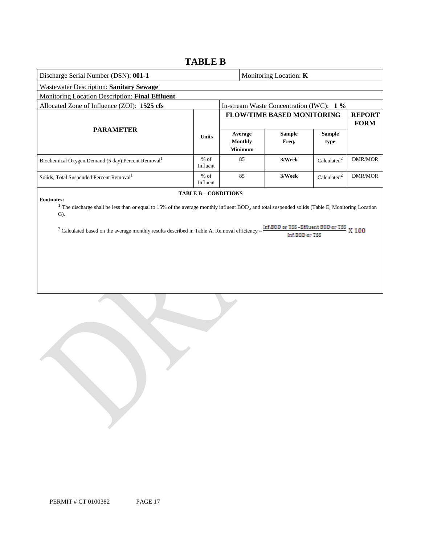### **TABLE B**

| Discharge Serial Number (DSN): 001-1                                                                                                                                                                                                                                                                                       |                      |                                             | Monitoring Location: K                               |                         |                              |  |  |
|----------------------------------------------------------------------------------------------------------------------------------------------------------------------------------------------------------------------------------------------------------------------------------------------------------------------------|----------------------|---------------------------------------------|------------------------------------------------------|-------------------------|------------------------------|--|--|
| <b>Wastewater Description: Sanitary Sewage</b>                                                                                                                                                                                                                                                                             |                      |                                             |                                                      |                         |                              |  |  |
| Monitoring Location Description: Final Effluent                                                                                                                                                                                                                                                                            |                      |                                             |                                                      |                         |                              |  |  |
| Allocated Zone of Influence (ZOI): 1525 cfs                                                                                                                                                                                                                                                                                |                      |                                             | In-stream Waste Concentration (IWC): 1 %             |                         |                              |  |  |
|                                                                                                                                                                                                                                                                                                                            |                      |                                             | <b>FLOW/TIME BASED MONITORING</b>                    |                         | <b>REPORT</b><br><b>FORM</b> |  |  |
| <b>PARAMETER</b>                                                                                                                                                                                                                                                                                                           | <b>Units</b>         | Average<br><b>Monthly</b><br><b>Minimum</b> | <b>Sample</b><br>Freq.                               | <b>Sample</b><br>type   |                              |  |  |
| Biochemical Oxygen Demand (5 day) Percent Removal <sup>1</sup>                                                                                                                                                                                                                                                             | $%$ of<br>Influent   | 85                                          | 3/Week                                               | Calculated <sup>2</sup> | <b>DMR/MOR</b>               |  |  |
| Solids, Total Suspended Percent Removal <sup>1</sup>                                                                                                                                                                                                                                                                       | $%$ of<br>Influent   | 85                                          | 3/Week                                               | Calculated <sup>2</sup> | <b>DMR/MOR</b>               |  |  |
| <b>Footnotes:</b><br><sup>1</sup> The discharge shall be less than or equal to 15% of the average monthly influent BOD <sub>5</sub> and total suspended solids (Table E, Monitoring Location<br>$\mathbf{G}$ ).<br><sup>2</sup> Calculated based on the average monthly results described in Table A. Removal efficiency = | TABLE B - CONDITIONS |                                             | Inf.BOD or TSS-Effluent BOD or TSS<br>Inf.BOD or TSS |                         | X 100                        |  |  |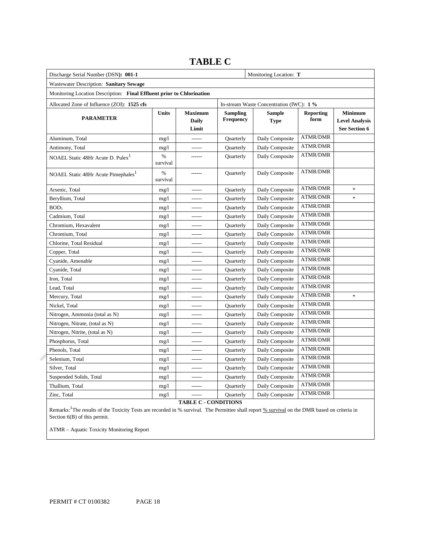| Discharge Serial Number (DSN): 001-1                                  |                  |                                         |                              | Monitoring Location: T                   |                          |                                                          |  |  |  |
|-----------------------------------------------------------------------|------------------|-----------------------------------------|------------------------------|------------------------------------------|--------------------------|----------------------------------------------------------|--|--|--|
| Wastewater Description: Sanitary Sewage                               |                  |                                         |                              |                                          |                          |                                                          |  |  |  |
| Monitoring Location Description: Final Effluent prior to Chlorination |                  |                                         |                              |                                          |                          |                                                          |  |  |  |
| Allocated Zone of Influence (ZOI): 1525 cfs                           |                  |                                         |                              | In-stream Waste Concentration (IWC): 1 % |                          |                                                          |  |  |  |
| <b>PARAMETER</b>                                                      | <b>Units</b>     | <b>Maximum</b><br><b>Daily</b><br>Limit | <b>Sampling</b><br>Frequency | <b>Sample</b><br><b>Type</b>             | <b>Reporting</b><br>form | <b>Minimum</b><br><b>Level Analysis</b><br>See Section 6 |  |  |  |
| Aluminum, Total                                                       | mg/1             | $- - - - - -$                           | Quarterly                    | Daily Composite                          | <b>ATMR/DMR</b>          |                                                          |  |  |  |
| Antimony, Total                                                       | mg/1             | ------                                  | Quarterly                    | Daily Composite                          | <b>ATMR/DMR</b>          |                                                          |  |  |  |
| NOAEL Static 48Hr Acute D. Pulex <sup>1</sup>                         | $\%$<br>survival | ------                                  | Quarterly                    | Daily Composite                          | <b>ATMR/DMR</b>          |                                                          |  |  |  |
| NOAEL Static 48Hr Acute Pimephales <sup>1</sup>                       | $\%$<br>survival |                                         | Quarterly                    | Daily Composite                          | <b>ATMR/DMR</b>          |                                                          |  |  |  |
| Arsenic, Total                                                        | mg/1             | $- - - - - -$                           | Quarterly                    | Daily Composite                          | <b>ATMR/DMR</b>          | $\ast$                                                   |  |  |  |
| Beryllium, Total                                                      | mg/1             |                                         | Quarterly                    | Daily Composite                          | <b>ATMR/DMR</b>          | $\ast$                                                   |  |  |  |
| BOD <sub>5</sub>                                                      | mg/1             | ------                                  | Quarterly                    | Daily Composite                          | <b>ATMR/DMR</b>          |                                                          |  |  |  |
| Cadmium, Total                                                        | mg/1             |                                         | Quarterly                    | Daily Composite                          | <b>ATMR/DMR</b>          |                                                          |  |  |  |
| Chromium, Hexavalent                                                  | mg/1             | ------                                  | Quarterly                    | Daily Composite                          | <b>ATMR/DMR</b>          |                                                          |  |  |  |
| Chromium, Total                                                       | mg/1             |                                         | Quarterly                    | Daily Composite                          | <b>ATMR/DMR</b>          |                                                          |  |  |  |
| Chlorine, Total Residual                                              | mg/1             | ------                                  | Quarterly                    | Daily Composite                          | <b>ATMR/DMR</b>          |                                                          |  |  |  |
| Copper, Total                                                         | mg/1             |                                         | Quarterly                    | Daily Composite                          | <b>ATMR/DMR</b>          |                                                          |  |  |  |
| Cyanide, Amenable                                                     | mg/1             | ------                                  | Quarterly                    | Daily Composite                          | <b>ATMR/DMR</b>          |                                                          |  |  |  |
| Cyanide, Total                                                        | mg/1             |                                         | Quarterly                    | Daily Composite                          | <b>ATMR/DMR</b>          |                                                          |  |  |  |
| Iron, Total                                                           | mg/1             |                                         | Quarterly                    | Daily Composite                          | <b>ATMR/DMR</b>          |                                                          |  |  |  |
| Lead, Total                                                           | mg/1             |                                         | Quarterly                    | Daily Composite                          | <b>ATMR/DMR</b>          |                                                          |  |  |  |
| Mercury, Total                                                        | mg/1             |                                         | Quarterly                    | Daily Composite                          | <b>ATMR/DMR</b>          | $\ast$                                                   |  |  |  |
| Nickel, Total                                                         | mg/1             | ------                                  | Quarterly                    | Daily Composite                          | <b>ATMR/DMR</b>          |                                                          |  |  |  |
| Nitrogen, Ammonia (total as N)                                        | mg/1             |                                         | Quarterly                    | Daily Composite                          | <b>ATMR/DMR</b>          |                                                          |  |  |  |
| Nitrogen, Nitrate, (total as N)                                       | mg/1             | ------                                  | Quarterly                    | Daily Composite                          | <b>ATMR/DMR</b>          |                                                          |  |  |  |
| Nitrogen, Nitrite, (total as N)                                       | mg/1             |                                         | Quarterly                    | Daily Composite                          | <b>ATMR/DMR</b>          |                                                          |  |  |  |
| Phosphorus, Total                                                     | mg/1             | ------                                  | Quarterly                    | Daily Composite                          | <b>ATMR/DMR</b>          |                                                          |  |  |  |
| Phenols, Total                                                        | mg/1             | ------                                  | Quarterly                    | Daily Composite                          | <b>ATMR/DMR</b>          |                                                          |  |  |  |
| Selenium, Total                                                       | mg/1             | ------                                  | Quarterly                    | Daily Composite                          | <b>ATMR/DMR</b>          |                                                          |  |  |  |
| Silver, Total                                                         | mg/1             | ------                                  | Quarterly                    | Daily Composite                          | <b>ATMR/DMR</b>          |                                                          |  |  |  |
| Suspended Solids, Total                                               | mg/1             | ------                                  | Quarterly                    | Daily Composite                          | <b>ATMR/DMR</b>          |                                                          |  |  |  |
| Thallium, Total                                                       | mg/1             | ------                                  | Quarterly                    | Daily Composite                          | <b>ATMR/DMR</b>          |                                                          |  |  |  |
| Zinc, Total                                                           | mg/1             | ------                                  | Quarterly                    | Daily Composite                          | <b>ATMR/DMR</b>          |                                                          |  |  |  |

### **TABLE C**

**TABLE C - CONDITIONS** 

Remarks: <sup>1</sup>The results of the Toxicity Tests are recorded in % survival. The Permittee shall report % survival on the DMR based on criteria in Section 6(B) of this permit.

ATMR – Aquatic Toxicity Monitoring Report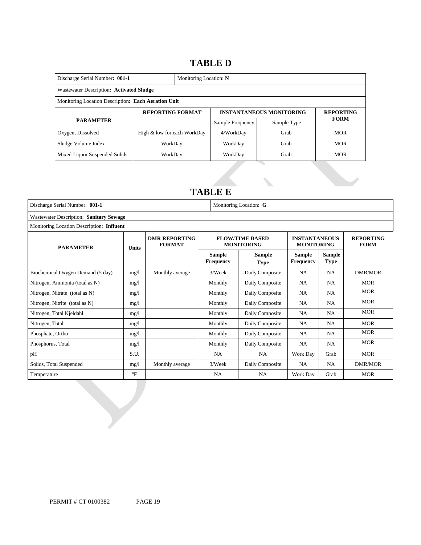### 16B**TABLE D**

| Discharge Serial Number: 001-1                      | Monitoring Location: N      |                               |                  |                                 |                  |  |  |  |
|-----------------------------------------------------|-----------------------------|-------------------------------|------------------|---------------------------------|------------------|--|--|--|
| Wastewater Description: Activated Sludge            |                             |                               |                  |                                 |                  |  |  |  |
| Monitoring Location Description: Each Aeration Unit |                             |                               |                  |                                 |                  |  |  |  |
|                                                     | <b>REPORTING FORMAT</b>     |                               |                  | <b>INSTANTANEOUS MONITORING</b> | <b>REPORTING</b> |  |  |  |
| <b>PARAMETER</b>                                    |                             |                               | Sample Frequency | Sample Type                     | <b>FORM</b>      |  |  |  |
| Oxygen, Dissolved                                   | High & low for each WorkDay |                               | 4/WorkDay        | Grab                            | <b>MOR</b>       |  |  |  |
| Sludge Volume Index                                 | WorkDav                     |                               | WorkDay          | Grab                            | <b>MOR</b>       |  |  |  |
| Mixed Liquor Suspended Solids                       | WorkDay                     | <b>MOR</b><br>Grab<br>WorkDay |                  |                                 |                  |  |  |  |

### 17B**TABLE E**

| Discharge Serial Number: 001-1<br>Monitoring Location: G |              |                                       |                                                                                |                                             |                                           |           |                                 |  |  |  |  |
|----------------------------------------------------------|--------------|---------------------------------------|--------------------------------------------------------------------------------|---------------------------------------------|-------------------------------------------|-----------|---------------------------------|--|--|--|--|
| Wastewater Description: Sanitary Sewage                  |              |                                       |                                                                                |                                             |                                           |           |                                 |  |  |  |  |
| Monitoring Location Description: Influent                |              |                                       |                                                                                |                                             |                                           |           |                                 |  |  |  |  |
| <b>PARAMETER</b>                                         |              | <b>DMR REPORTING</b><br><b>FORMAT</b> |                                                                                | <b>FLOW/TIME BASED</b><br><b>MONITORING</b> | <b>INSTANTANEOUS</b><br><b>MONITORING</b> |           | <b>REPORTING</b><br><b>FORM</b> |  |  |  |  |
|                                                          | <b>Units</b> |                                       | Sample<br><b>Sample</b><br><b>Frequency</b><br><b>Frequency</b><br><b>Type</b> |                                             |                                           |           |                                 |  |  |  |  |
| Biochemical Oxygen Demand (5 day)                        | mg/1         | Monthly average                       | 3/Week                                                                         | Daily Composite                             | <b>NA</b>                                 | <b>NA</b> | DMR/MOR                         |  |  |  |  |
| Nitrogen, Ammonia (total as N)                           | mg/1         |                                       | Monthly                                                                        | Daily Composite                             | NA.                                       | <b>NA</b> | <b>MOR</b>                      |  |  |  |  |
| Nitrogen, Nitrate (total as N)                           | mg/1         |                                       | Monthly                                                                        | Daily Composite                             | NA                                        | <b>NA</b> | <b>MOR</b>                      |  |  |  |  |
| Nitrogen, Nitrite (total as N)                           | mg/1         |                                       | Monthly                                                                        | Daily Composite                             | NA                                        | <b>NA</b> | <b>MOR</b>                      |  |  |  |  |
| Nitrogen, Total Kjeldahl                                 | mg/l         |                                       | Monthly                                                                        | Daily Composite                             | NA                                        | <b>NA</b> | <b>MOR</b>                      |  |  |  |  |
| Nitrogen, Total                                          | mg/1         |                                       | Monthly                                                                        | Daily Composite                             | NA.                                       | <b>NA</b> | <b>MOR</b>                      |  |  |  |  |
| Phosphate, Ortho                                         | mg/1         |                                       | Monthly                                                                        | Daily Composite                             | NA                                        | <b>NA</b> | <b>MOR</b>                      |  |  |  |  |
| Phosphorus, Total                                        | mg/1         |                                       | Monthly                                                                        | Daily Composite                             | NA                                        | <b>NA</b> | <b>MOR</b>                      |  |  |  |  |
| pH                                                       | S.U.         |                                       | <b>NA</b>                                                                      | <b>NA</b>                                   | Work Day                                  | Grab      | <b>MOR</b>                      |  |  |  |  |
| Solids, Total Suspended                                  | mg/1         | Monthly average                       | 3/Week                                                                         | Daily Composite                             | NA                                        | <b>NA</b> | <b>DMR/MOR</b>                  |  |  |  |  |
| Temperature                                              | $\mathrm{P}$ |                                       | NA                                                                             | <b>NA</b>                                   | Work Day                                  | Grab      | <b>MOR</b>                      |  |  |  |  |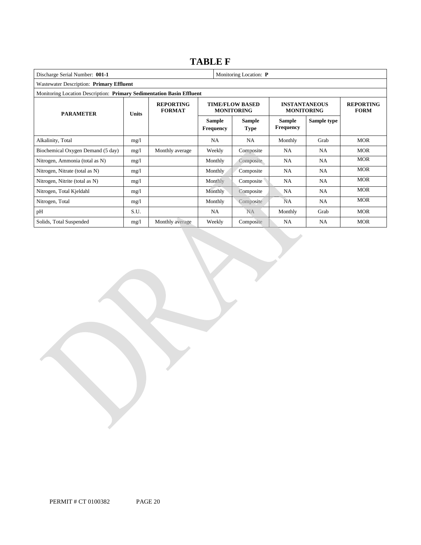### **TABLE F**

| Discharge Serial Number: 001-1                                        |              |                                   |                                   | Monitoring Location: P                      |                                           |                                 |            |  |  |  |  |
|-----------------------------------------------------------------------|--------------|-----------------------------------|-----------------------------------|---------------------------------------------|-------------------------------------------|---------------------------------|------------|--|--|--|--|
| Wastewater Description: Primary Effluent                              |              |                                   |                                   |                                             |                                           |                                 |            |  |  |  |  |
| Monitoring Location Description: Primary Sedimentation Basin Effluent |              |                                   |                                   |                                             |                                           |                                 |            |  |  |  |  |
| <b>PARAMETER</b>                                                      | <b>Units</b> | <b>REPORTING</b><br><b>FORMAT</b> |                                   | <b>TIME/FLOW BASED</b><br><b>MONITORING</b> | <b>INSTANTANEOUS</b><br><b>MONITORING</b> | <b>REPORTING</b><br><b>FORM</b> |            |  |  |  |  |
|                                                                       |              |                                   | <b>Sample</b><br><b>Frequency</b> | Sample<br><b>Type</b>                       | <b>Sample</b><br><b>Frequency</b>         | Sample type                     |            |  |  |  |  |
| Alkalinity, Total                                                     | mg/l         |                                   | <b>NA</b>                         | <b>NA</b>                                   | Monthly                                   | Grab                            | <b>MOR</b> |  |  |  |  |
| Biochemical Oxygen Demand (5 day)                                     | mg/l         | Monthly average                   | Weekly                            | Composite                                   | <b>NA</b>                                 | NA.                             | <b>MOR</b> |  |  |  |  |
| Nitrogen, Ammonia (total as N)                                        | mg/l         |                                   | Monthly                           | Composite                                   | NA                                        | NA.                             | <b>MOR</b> |  |  |  |  |
| Nitrogen, Nitrate (total as N)                                        | mg/1         |                                   | <b>Monthly</b>                    | Composite                                   | NA                                        | NA                              | <b>MOR</b> |  |  |  |  |
| Nitrogen, Nitrite (total as N)                                        | mg/1         |                                   | <b>Monthly</b>                    | Composite                                   | NA                                        | NA.                             | <b>MOR</b> |  |  |  |  |
| Nitrogen, Total Kjeldahl                                              | mg/1         |                                   | Monthly                           | Composite                                   | <b>NA</b>                                 | NA.                             | <b>MOR</b> |  |  |  |  |
| Nitrogen, Total                                                       | mg/l         |                                   | Monthly                           | Composite                                   | <b>NA</b>                                 | NA.                             | <b>MOR</b> |  |  |  |  |
| pH                                                                    | S.U.         |                                   | NA                                | NA.                                         | Monthly                                   | Grab                            | <b>MOR</b> |  |  |  |  |
| Solids, Total Suspended                                               | mg/l         | Monthly average                   | Weekly                            | Composite                                   | <b>NA</b>                                 | NA.                             | <b>MOR</b> |  |  |  |  |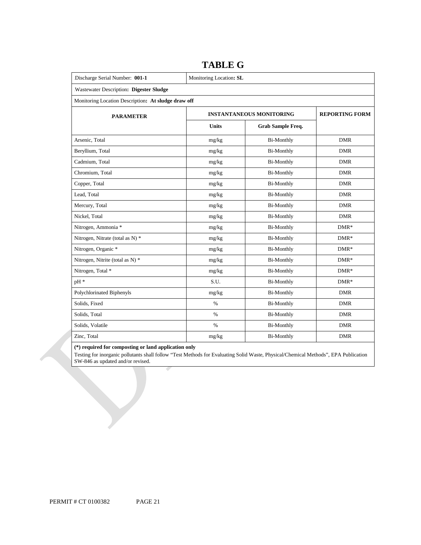| Discharge Serial Number: 001-1                      | Monitoring Location: SL         |                          |            |
|-----------------------------------------------------|---------------------------------|--------------------------|------------|
| Wastewater Description: Digester Sludge             |                                 |                          |            |
| Monitoring Location Description: At sludge draw off |                                 |                          |            |
| <b>PARAMETER</b>                                    | <b>INSTANTANEOUS MONITORING</b> | <b>REPORTING FORM</b>    |            |
|                                                     | <b>Units</b>                    | <b>Grab Sample Freq.</b> |            |
| Arsenic, Total                                      | mg/kg                           | <b>Bi-Monthly</b>        | <b>DMR</b> |
| Beryllium, Total                                    | mg/kg                           | Bi-Monthly               | <b>DMR</b> |
| Cadmium, Total                                      | mg/kg                           | <b>Bi-Monthly</b>        | <b>DMR</b> |
| Chromium, Total                                     | mg/kg                           | <b>Bi-Monthly</b>        | <b>DMR</b> |
| Copper, Total                                       | mg/kg                           | Bi-Monthly               | <b>DMR</b> |
| Lead, Total                                         | mg/kg                           | <b>Bi-Monthly</b>        | <b>DMR</b> |
| Mercury, Total                                      | mg/kg                           | <b>Bi-Monthly</b>        | <b>DMR</b> |
| Nickel, Total                                       | mg/kg                           | Bi-Monthly               | <b>DMR</b> |
| Nitrogen, Ammonia *                                 | mg/kg                           | <b>Bi-Monthly</b>        | $DMR*$     |
| Nitrogen, Nitrate (total as N) *                    | mg/kg                           | <b>Bi-Monthly</b>        | $DMR*$     |
| Nitrogen, Organic *                                 | mg/kg                           | <b>Bi-Monthly</b>        | $DMR*$     |
| Nitrogen, Nitrite (total as N) *                    | mg/kg                           | <b>Bi-Monthly</b>        | $DMR*$     |
| Nitrogen, Total *                                   | mg/kg                           | <b>Bi-Monthly</b>        | $DMR*$     |
| pH *                                                | S.U.                            | <b>Bi-Monthly</b>        | $DMR*$     |
| Polychlorinated Biphenyls                           | mg/kg                           | <b>Bi-Monthly</b>        | <b>DMR</b> |
| Solids, Fixed                                       | $\%$                            | <b>Bi-Monthly</b>        | <b>DMR</b> |
| Solids, Total                                       | $\%$                            | <b>Bi-Monthly</b>        | <b>DMR</b> |
| Solids, Volatile                                    | $\%$                            | <b>Bi-Monthly</b>        | <b>DMR</b> |
| Zinc, Total                                         | mg/kg                           | <b>Bi-Monthly</b>        | <b>DMR</b> |

### **TABLE G**

#### **(\*) required for composting or land application only**

 Testing for inorganic pollutants shall follow "Test Methods for Evaluating Solid Waste, Physical/Chemical Methods", EPA Publication SW-846 as updated and/or revised.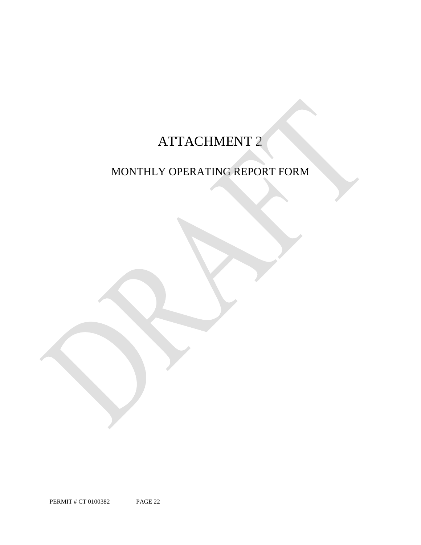## ATTACHMENT 2

## MONTHLY OPERATING REPORT FORM

PERMIT # CT 0100382 PAGE 22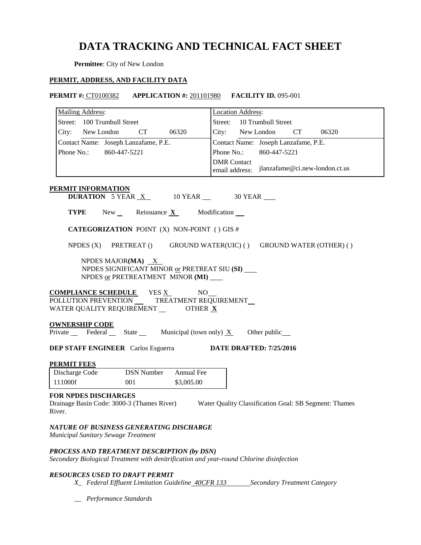### **DATA TRACKING AND TECHNICAL FACT SHEET**

**Permittee**: City of New London

### **PERMIT, ADDRESS, AND FACILITY DATA**

| <b>PERMIT #: CT0100382 APPLICATION #: 201101980 FACILITY ID. 095-001</b>                                                                               |                                                                                                         |            |                                      |                                      |       |                                                       |
|--------------------------------------------------------------------------------------------------------------------------------------------------------|---------------------------------------------------------------------------------------------------------|------------|--------------------------------------|--------------------------------------|-------|-------------------------------------------------------|
| <b>Mailing Address:</b>                                                                                                                                |                                                                                                         |            | <b>Location Address:</b>             |                                      |       |                                                       |
| Street: 100 Trumbull Street                                                                                                                            |                                                                                                         |            |                                      | Street: 10 Trumbull Street           |       |                                                       |
| City: New London                                                                                                                                       | CT ON THE CONTROLLER STATES                                                                             | 06320      | City: New London                     |                                      | CT CT | 06320                                                 |
| Contact Name: Joseph Lanzafame, P.E.                                                                                                                   |                                                                                                         |            |                                      | Contact Name: Joseph Lanzafame, P.E. |       |                                                       |
| Phone No.: 860-447-5221                                                                                                                                |                                                                                                         |            | Phone No.:                           | 860-447-5221                         |       |                                                       |
|                                                                                                                                                        |                                                                                                         |            | <b>DMR</b> Contact<br>email address: |                                      |       | jlanzafame@ci.new-london.ct.us                        |
| <b>PERMIT INFORMATION</b>                                                                                                                              | <b>DURATION</b> 5 YEAR $X$ 10 YEAR $\_\$ 30 YEAR                                                        |            |                                      |                                      |       |                                                       |
|                                                                                                                                                        | <b>TYPE</b> New Reissuance $X$ Modification $\blacksquare$                                              |            |                                      |                                      |       |                                                       |
|                                                                                                                                                        | <b>CATEGORIZATION POINT</b> (X) NON-POINT () GIS #                                                      |            |                                      |                                      |       |                                                       |
|                                                                                                                                                        |                                                                                                         |            |                                      |                                      |       |                                                       |
|                                                                                                                                                        | NPDES (X) PRETREAT () GROUND WATER(UIC) () GROUND WATER (OTHER) ()                                      |            |                                      |                                      |       |                                                       |
|                                                                                                                                                        | NPDES MAJOR(MA) $X$<br>NPDES SIGNIFICANT MINOR or PRETREAT SIU (SI)<br>NPDES or PRETREATMENT MINOR (MI) |            |                                      |                                      |       |                                                       |
| <b>COMPLIANCE SCHEDULE</b> YES $\underline{X}$ NO<br>POLLUTION PREVENTION ______ TREATMENT REQUIREMENT_<br>WATER QUALITY REQUIREMENT _________ OTHER X |                                                                                                         |            |                                      |                                      |       |                                                       |
| <b>OWNERSHIP CODE</b>                                                                                                                                  |                                                                                                         |            |                                      |                                      |       |                                                       |
| Private Federal State Municipal (town only) $X$ Other public                                                                                           |                                                                                                         |            |                                      |                                      |       |                                                       |
| <b>DEP STAFF ENGINEER</b> Carlos Esguerra <b>DATE DRAFTED:</b> 7/25/2016                                                                               |                                                                                                         |            |                                      |                                      |       |                                                       |
| <b>PERMIT FEES</b>                                                                                                                                     |                                                                                                         |            |                                      |                                      |       |                                                       |
| Discharge Code                                                                                                                                         | <b>DSN Number</b> Annual Fee                                                                            |            |                                      |                                      |       |                                                       |
| 111000f                                                                                                                                                | 001                                                                                                     | \$3,005.00 |                                      |                                      |       |                                                       |
| <b>FOR NPDES DISCHARGES</b><br>Drainage Basin Code: 3000-3 (Thames River)<br>River.                                                                    |                                                                                                         |            |                                      |                                      |       | Water Quality Classification Goal: SB Segment: Thames |
| NATURE OF BUSINESS GENERATING DISCHARGE<br>Municipal Sanitary Sewage Treatment                                                                         |                                                                                                         |            |                                      |                                      |       |                                                       |
| PROCESS AND TREATMENT DESCRIPTION (by DSN)<br>Secondary Biological Treatment with denitrification and year-round Chlorine disinfection                 |                                                                                                         |            |                                      |                                      |       |                                                       |

### *RESOURCES USED TO DRAFT PERMIT*

- X\_ Federal Effluent Limitation Guideline 40CFR 133 Secondary Treatment Category
- *\_\_ Performance Standards*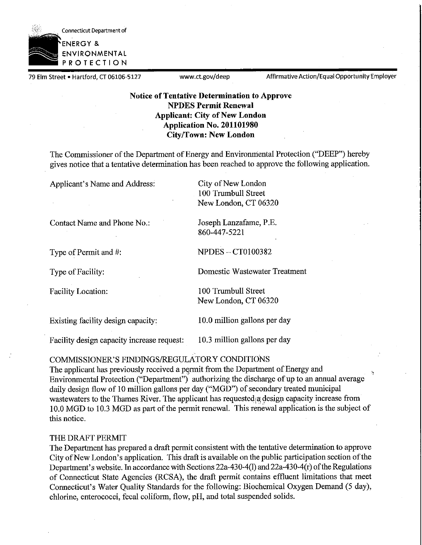

79 Elm Street • Hartford, CT 06106-5127 www.ct.gov/deep Affirmative Action/Equal Opportunity Employer

### **Notice of Tentative Determination to Approve NPDES Permit Renewal Applicant: City of New London Application No. 201101980 Cityffown: New London**

The Commissioner of the Department of Energy and Environmental Protection ("DEEP") hereby gives notice that a tentative determination has been reached to approve the following application.

Applicant's Name and Address: City of New London

100 Trumbull Street New London, CT 06320

Contact Name and Phone No.: Joseph Lanzafame, P.E.

Type of Permit and  $#$ :  $NPDES - CT0100382$ 

860-447-5221

Type of Facility: Domestic Wastewater Treatment

Facility Location: 100 Trumbull Street New London, CT 06320

Existing facility design capacity: 10.0 million gallons per day

Facility design capacity increase request: 10.3 million gallons per day

COMMISSIONER'S FINDINGS/REGULATORY CONDITIONS

The applicant has previously received a permit from the Department of Energy and Environmental Protection ("Department") authorizing the discharge of up to an annual average daily design flow of 10 million gallons per day ("MGD") of secondary treated municipal wastewaters to the Thames River. The applicant has requested a design capacity increase from 10.0 MGD to 10.3 MGD as part of the permit renewal. This renewal application is the subject of this notice.

### THE DRAFT PERMIT

The Department has prepared a draft permit consistent with the tentative determination to approve City of New London's application. This draft is available on the public participation section of the Department's website. In accordance with Sections 22a-430-4(1) and 22a-430-4(r) of the Regulations of Connecticut State Agencies (RCSA), the draft permit contains effluent limitations that meet Connecticut's Water Quality Standards for the following: Biochemical Oxygen Demand (5 day), chlorine, enterococci, fecal coliform, flow, pH, and total suspended solids.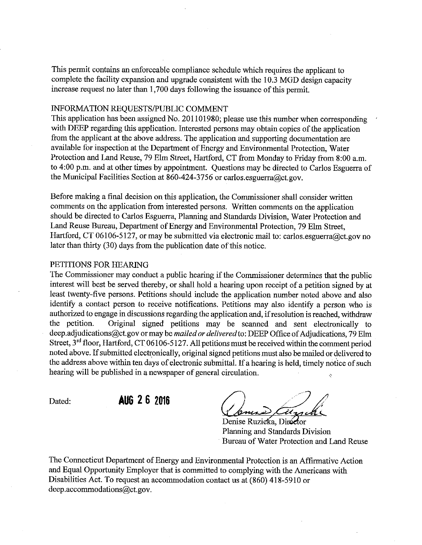This permit contains an enforceable compliance schedule which requires the applicant to complete the facility expansion and upgrade consistent with the 10.3 MGD design capacity increase request no later than 1,700 days following the issuance of this permit.

### INFORMATION REQUESTS/PUBLIC COMMENT

This application has been assigned No. 201101980; please use this number when corresponding with DEEP regarding this application. Interested persons may obtain copies of the application from the applicant at the above address. The application and. supporting documentation are available for inspection at the Department of Energy and Environmental Protection, Water Protection and Land Reuse, 79 Elm Street, Hartford, CT from Monday to Friday from 8 :00 a.m. to 4:00 p.m. and at other times by appointment. Questions may be directed to Carlos Esguerra of the Municipal Facilities Section at 860-424-3756 or carlos.esguerra@ct.gov.

Before making a final decision on this application, the Commissioner shall consider written comments on the application from interested persons. Written comments on the application should be directed to Carlos Esguerra, Planning and Standards Division, Water Protection and Land Reuse Bureau, Department of Energy and Environmental Protection, 79 Elm Street, Hartford, CT 06106-5127, or may be submitted via electronic mail to: carlos.esguerra@ct.gov no later than thirty  $(30)$  days from the publication date of this notice.

### PETITIONS FOR HEARING

The Commissioner may conduct a public hearing if the Commissioner determines that the public interest will best be served thereby, or shall hold a hearing upon receipt of a petition signed by at least twenty-five persons. Petitions should include the application number noted above and also identify a contact person to receive notifications. Petitions may also identify a person who is authorized to engage in discussions regarding the application and, if resolution is reached, withdraw<br>the petition. Original signed petitions may be scanned and sent electronically to Original signed petitions may be scanned and sent electronically to deep.adjudications@ct.gov or may be *mailed or delivered* to: DEEP Office of Adjudications, 79 Elm Street, 3<sup>rd</sup> floor, Hartford, CT 06106-5127. All petitions must be received within the comment period noted above. If submitted electronically, original signed petitions must also be mailed or delivered to the address above within ten days of electronic submittal. If a hearing is held, timely notice of such hearing will be published in a newspaper of general circulation.

Dated: **AUG 2 6 2016** 

 $\overline{\mathcal{U}_{\tau \mathcal{A}}}\mathcal{L}$ 

Denise Ruzicka, Director Planning and Standards Division Bureau of Water Protection and Land Reuse

The Connecticut Department of Energy and Environmental Protection is an Affirmative Action and Equal Opportunity Employer that is committed to complying with the Americans with Disabilities Act. To request an accommodation contact us at (860) 418-5910 or deep.accommodations@ct.gov.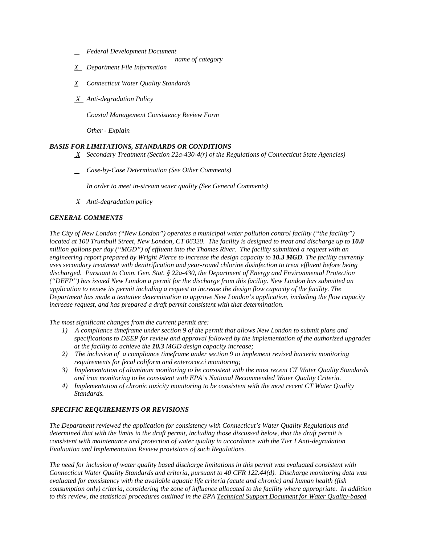- *Federal Development Document*
	- *name of category*
- *X Department File Information*
- *X Connecticut Water Quality Standards*
- *X Anti-degradation Policy*
- *Coastal Management Consistency Review Form*
- *Other - Explain*

### *BASIS FOR LIMITATIONS, STANDARDS OR CONDITIONS*

- *X Secondary Treatment (Section 22a-430-4(r) of the Regulations of Connecticut State Agencies)*
- *Case-by-Case Determination (See Other Comments)*
- *In order to meet in-stream water quality (See General Comments)*
- *X Anti-degradation policy*

### *GENERAL COMMENTS*

 *located at 100 Trumbull Street, New London, CT 06320. The facility is designed to treat and discharge up to 10.0 million gallons per day ("MGD") of effluent into the Thames River. The facility submitted a request with an uses secondary treatment with denitrification and year-round chlorine disinfection to treat effluent before being*  increase request, and has prepared a draft permit consistent with that determination.<br>The most significant changes from the current permit are: *The City of New London ("New London") operates a municipal water pollution control facility ("the facility") engineering report prepared by Wright Pierce to increase the design capacity to 10.3 MGD. The facility currently discharged. Pursuant to Conn. Gen. Stat. § 22a-430, the Department of Energy and Environmental Protection ("DEEP") has issued New London a permit for the discharge from this facility. New London has submitted an application to renew its permit including a request to increase the design flow capacity of the facility. The Department has made a tentative determination to approve New London's application, including the flow capacity* 

- *1) A compliance timeframe under section 9 of the permit that allows New London to submit plans and at the facility to achieve the 10.3 MGD design capacity increase; specifications to DEEP for review and approval followed by the implementation of the authorized upgrades*
- *at the facility to achieve the 10.3 MGD design capacity increase; 2) The inclusion of a compliance timeframe under section 9 to implement revised bacteria monitoring requirements for fecal coliform and enterococci monitoring;*
- *3) Implementation of aluminum monitoring to be consistent with the most recent CT Water Quality Standards*  and iron monitoring to be consistent with EPA's National Recommended Water Quality Criteria.
- *a*) Implementation of chronic toxicity monitoring to be consistent with the most recent CT Water Quality *Standards.*

### *SPECIFIC REQUIREMENTS OR REVISIONS*

Evaluation and Implementation Review provisions of such Regulations. *The Department reviewed the application for consistency with Connecticut's Water Quality Regulations and determined that with the limits in the draft permit, including those discussed below, that the draft permit is consistent with maintenance and protection of water quality in accordance with the Tier I Anti-degradation* 

 *Connecticut Water Quality Standards and criteria, pursuant to 40 CFR 122.44(d). Discharge monitoring data was consumption only) criteria, considering the zone of influence allocated to the facility where appropriate. In addition to this review, the statistical procedures outlined in the EPA Technical Support Document for Water Quality-based The need for inclusion of water quality based discharge limitations in this permit was evaluated consistent with evaluated for consistency with the available aquatic life criteria (acute and chronic) and human health (fish*